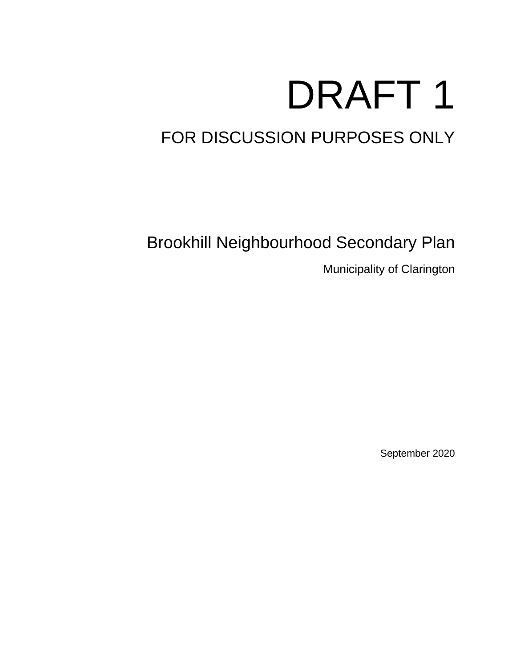# DRAFT 1

## FOR DISCUSSION PURPOSES ONLY

Brookhill Neighbourhood Secondary Plan

Municipality of Clarington

September 2020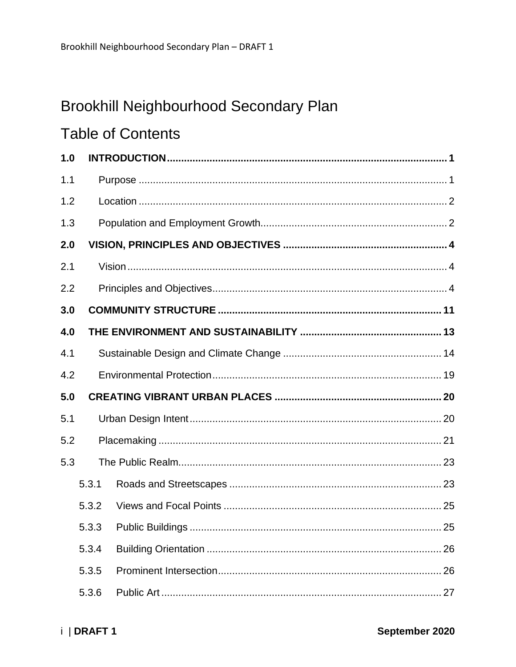## Brookhill Neighbourhood Secondary Plan

## **Table of Contents**

| 1.0 |       |  |    |  |
|-----|-------|--|----|--|
| 1.1 |       |  |    |  |
| 1.2 |       |  |    |  |
| 1.3 |       |  |    |  |
| 2.0 |       |  |    |  |
| 2.1 |       |  |    |  |
| 2.2 |       |  |    |  |
| 3.0 |       |  |    |  |
| 4.0 |       |  |    |  |
| 4.1 |       |  |    |  |
| 4.2 |       |  |    |  |
| 5.0 |       |  |    |  |
| 5.1 |       |  |    |  |
| 5.2 |       |  |    |  |
| 5.3 |       |  |    |  |
|     | 5.3.1 |  |    |  |
|     | 5.3.2 |  |    |  |
|     |       |  | 25 |  |
|     | 5.3.4 |  |    |  |
|     | 5.3.5 |  |    |  |
|     | 5.3.6 |  |    |  |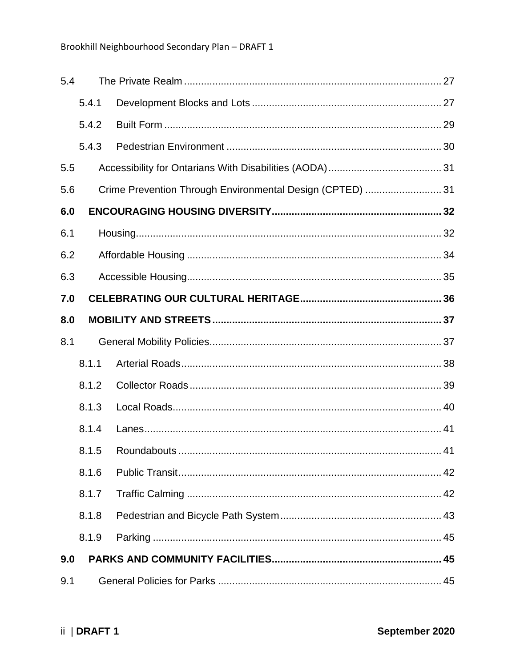| 5.4 |       |                                                           |  |  |
|-----|-------|-----------------------------------------------------------|--|--|
|     | 5.4.1 |                                                           |  |  |
|     | 5.4.2 |                                                           |  |  |
|     | 5.4.3 |                                                           |  |  |
| 5.5 |       |                                                           |  |  |
| 5.6 |       | Crime Prevention Through Environmental Design (CPTED)  31 |  |  |
| 6.0 |       |                                                           |  |  |
| 6.1 |       |                                                           |  |  |
| 6.2 |       |                                                           |  |  |
| 6.3 |       |                                                           |  |  |
| 7.0 |       |                                                           |  |  |
| 8.0 |       |                                                           |  |  |
| 8.1 |       |                                                           |  |  |
|     | 8.1.1 |                                                           |  |  |
|     | 8.1.2 |                                                           |  |  |
|     | 8.1.3 |                                                           |  |  |
|     | 8.1.4 |                                                           |  |  |
|     |       | 41                                                        |  |  |
|     | 8.1.6 |                                                           |  |  |
|     | 8.1.7 |                                                           |  |  |
|     | 8.1.8 |                                                           |  |  |
|     | 8.1.9 |                                                           |  |  |
| 9.0 |       |                                                           |  |  |
| 9.1 |       |                                                           |  |  |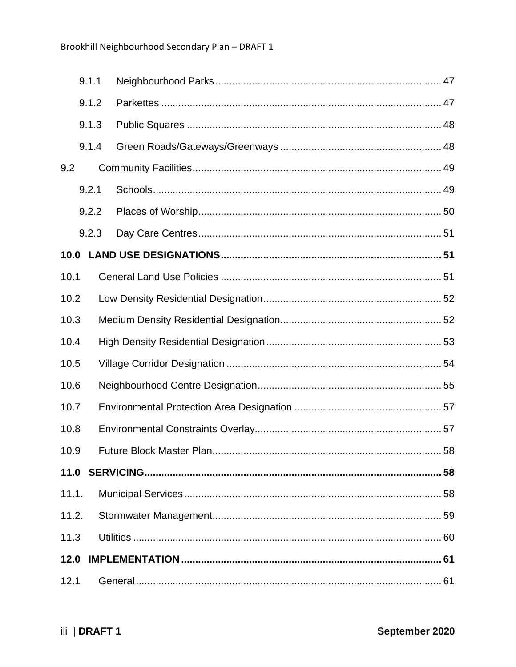|       | 9.1.1 |                           |     |
|-------|-------|---------------------------|-----|
|       | 9.1.2 |                           |     |
|       | 9.1.3 |                           |     |
|       | 9.1.4 |                           |     |
| 9.2   |       |                           |     |
|       | 9.2.1 |                           |     |
|       | 9.2.2 |                           |     |
|       | 9.2.3 |                           |     |
| 10.0  |       |                           |     |
| 10.1  |       |                           |     |
| 10.2  |       |                           |     |
| 10.3  |       |                           |     |
| 10.4  |       |                           |     |
| 10.5  |       |                           |     |
| 10.6  |       |                           |     |
| 10.7  |       |                           |     |
| 10.8  |       |                           |     |
| 10.9  |       | Future Block Master Plan. | .58 |
|       |       |                           |     |
| 11.1. |       |                           |     |
| 11.2. |       |                           |     |
| 11.3  |       |                           |     |
| 12.0  |       |                           |     |
| 12.1  |       |                           |     |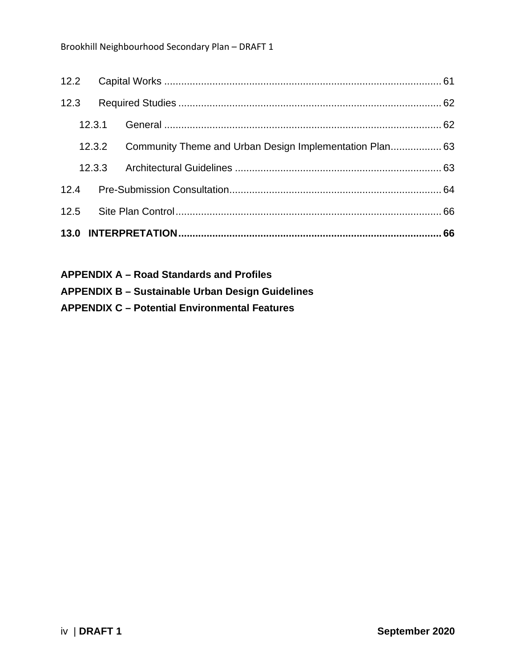| 12.3   |        |  |
|--------|--------|--|
| 12.3.1 |        |  |
| 12.3.2 |        |  |
|        | 12.3.3 |  |
|        |        |  |
|        |        |  |
|        |        |  |

| <b>APPENDIX A – Road Standards and Profiles</b>         |
|---------------------------------------------------------|
| <b>APPENDIX B – Sustainable Urban Design Guidelines</b> |
| <b>APPENDIX C - Potential Environmental Features</b>    |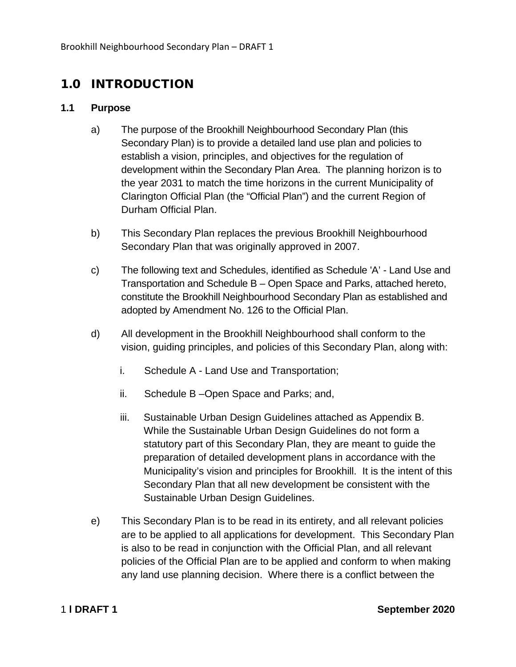### <span id="page-5-0"></span>1.0 INTRODUCTION

#### <span id="page-5-1"></span>**1.1 Purpose**

- a) The purpose of the Brookhill Neighbourhood Secondary Plan (this Secondary Plan) is to provide a detailed land use plan and policies to establish a vision, principles, and objectives for the regulation of development within the Secondary Plan Area. The planning horizon is to the year 2031 to match the time horizons in the current Municipality of Clarington Official Plan (the "Official Plan") and the current Region of Durham Official Plan.
- b) This Secondary Plan replaces the previous Brookhill Neighbourhood Secondary Plan that was originally approved in 2007.
- c) The following text and Schedules, identified as Schedule 'A' Land Use and Transportation and Schedule B – Open Space and Parks, attached hereto, constitute the Brookhill Neighbourhood Secondary Plan as established and adopted by Amendment No. 126 to the Official Plan.
- d) All development in the Brookhill Neighbourhood shall conform to the vision, guiding principles, and policies of this Secondary Plan, along with:
	- i. Schedule A Land Use and Transportation;
	- ii. Schedule B –Open Space and Parks; and,
	- iii. Sustainable Urban Design Guidelines attached as Appendix B. While the Sustainable Urban Design Guidelines do not form a statutory part of this Secondary Plan, they are meant to guide the preparation of detailed development plans in accordance with the Municipality's vision and principles for Brookhill. It is the intent of this Secondary Plan that all new development be consistent with the Sustainable Urban Design Guidelines.
- e) This Secondary Plan is to be read in its entirety, and all relevant policies are to be applied to all applications for development. This Secondary Plan is also to be read in conjunction with the Official Plan, and all relevant policies of the Official Plan are to be applied and conform to when making any land use planning decision. Where there is a conflict between the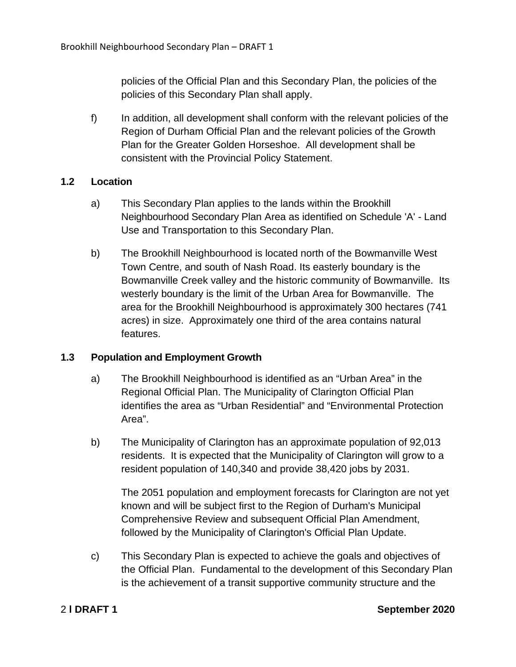policies of the Official Plan and this Secondary Plan, the policies of the policies of this Secondary Plan shall apply.

f) In addition, all development shall conform with the relevant policies of the Region of Durham Official Plan and the relevant policies of the Growth Plan for the Greater Golden Horseshoe. All development shall be consistent with the Provincial Policy Statement.

#### <span id="page-6-0"></span>**1.2 Location**

- a) This Secondary Plan applies to the lands within the Brookhill Neighbourhood Secondary Plan Area as identified on Schedule 'A' - Land Use and Transportation to this Secondary Plan.
- b) The Brookhill Neighbourhood is located north of the Bowmanville West Town Centre, and south of Nash Road. Its easterly boundary is the Bowmanville Creek valley and the historic community of Bowmanville. Its westerly boundary is the limit of the Urban Area for Bowmanville. The area for the Brookhill Neighbourhood is approximately 300 hectares (741 acres) in size. Approximately one third of the area contains natural features.

#### <span id="page-6-1"></span>**1.3 Population and Employment Growth**

- a) The Brookhill Neighbourhood is identified as an "Urban Area" in the Regional Official Plan. The Municipality of Clarington Official Plan identifies the area as "Urban Residential" and "Environmental Protection Area".
- b) The Municipality of Clarington has an approximate population of 92,013 residents. It is expected that the Municipality of Clarington will grow to a resident population of 140,340 and provide 38,420 jobs by 2031.

The 2051 population and employment forecasts for Clarington are not yet known and will be subject first to the Region of Durham's Municipal Comprehensive Review and subsequent Official Plan Amendment, followed by the Municipality of Clarington's Official Plan Update.

c) This Secondary Plan is expected to achieve the goals and objectives of the Official Plan. Fundamental to the development of this Secondary Plan is the achievement of a transit supportive community structure and the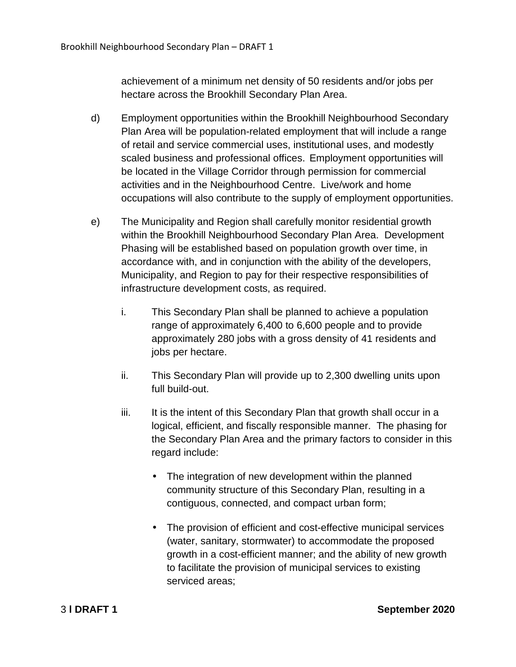achievement of a minimum net density of 50 residents and/or jobs per hectare across the Brookhill Secondary Plan Area.

- d) Employment opportunities within the Brookhill Neighbourhood Secondary Plan Area will be population-related employment that will include a range of retail and service commercial uses, institutional uses, and modestly scaled business and professional offices. Employment opportunities will be located in the Village Corridor through permission for commercial activities and in the Neighbourhood Centre. Live/work and home occupations will also contribute to the supply of employment opportunities.
- e) The Municipality and Region shall carefully monitor residential growth within the Brookhill Neighbourhood Secondary Plan Area. Development Phasing will be established based on population growth over time, in accordance with, and in conjunction with the ability of the developers, Municipality, and Region to pay for their respective responsibilities of infrastructure development costs, as required.
	- i. This Secondary Plan shall be planned to achieve a population range of approximately 6,400 to 6,600 people and to provide approximately 280 jobs with a gross density of 41 residents and jobs per hectare.
	- ii. This Secondary Plan will provide up to 2,300 dwelling units upon full build-out.
	- iii. It is the intent of this Secondary Plan that growth shall occur in a logical, efficient, and fiscally responsible manner. The phasing for the Secondary Plan Area and the primary factors to consider in this regard include:
		- The integration of new development within the planned community structure of this Secondary Plan, resulting in a contiguous, connected, and compact urban form;
		- The provision of efficient and cost-effective municipal services (water, sanitary, stormwater) to accommodate the proposed growth in a cost-efficient manner; and the ability of new growth to facilitate the provision of municipal services to existing serviced areas;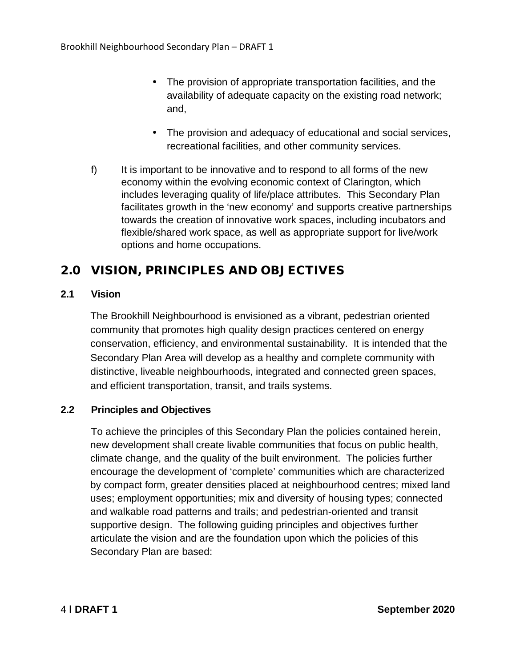- The provision of appropriate transportation facilities, and the availability of adequate capacity on the existing road network; and,
- The provision and adequacy of educational and social services, recreational facilities, and other community services.
- f) It is important to be innovative and to respond to all forms of the new economy within the evolving economic context of Clarington, which includes leveraging quality of life/place attributes. This Secondary Plan facilitates growth in the 'new economy' and supports creative partnerships towards the creation of innovative work spaces, including incubators and flexible/shared work space, as well as appropriate support for live/work options and home occupations.

### <span id="page-8-0"></span>2.0 VISION, PRINCIPLES AND OBJECTIVES

#### <span id="page-8-1"></span>**2.1 Vision**

The Brookhill Neighbourhood is envisioned as a vibrant, pedestrian oriented community that promotes high quality design practices centered on energy conservation, efficiency, and environmental sustainability. It is intended that the Secondary Plan Area will develop as a healthy and complete community with distinctive, liveable neighbourhoods, integrated and connected green spaces, and efficient transportation, transit, and trails systems.

#### <span id="page-8-2"></span>**2.2 Principles and Objectives**

To achieve the principles of this Secondary Plan the policies contained herein, new development shall create livable communities that focus on public health, climate change, and the quality of the built environment. The policies further encourage the development of 'complete' communities which are characterized by compact form, greater densities placed at neighbourhood centres; mixed land uses; employment opportunities; mix and diversity of housing types; connected and walkable road patterns and trails; and pedestrian-oriented and transit supportive design. The following guiding principles and objectives further articulate the vision and are the foundation upon which the policies of this Secondary Plan are based: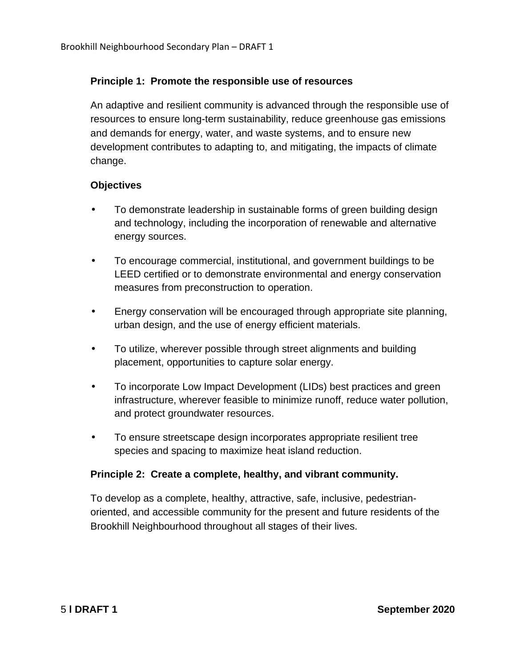#### **Principle 1: Promote the responsible use of resources**

An adaptive and resilient community is advanced through the responsible use of resources to ensure long-term sustainability, reduce greenhouse gas emissions and demands for energy, water, and waste systems, and to ensure new development contributes to adapting to, and mitigating, the impacts of climate change.

#### **Objectives**

- To demonstrate leadership in sustainable forms of green building design and technology, including the incorporation of renewable and alternative energy sources.
- To encourage commercial, institutional, and government buildings to be LEED certified or to demonstrate environmental and energy conservation measures from preconstruction to operation.
- Energy conservation will be encouraged through appropriate site planning, urban design, and the use of energy efficient materials.
- To utilize, wherever possible through street alignments and building placement, opportunities to capture solar energy.
- To incorporate Low Impact Development (LIDs) best practices and green infrastructure, wherever feasible to minimize runoff, reduce water pollution, and protect groundwater resources.
- To ensure streetscape design incorporates appropriate resilient tree species and spacing to maximize heat island reduction.

#### **Principle 2: Create a complete, healthy, and vibrant community.**

To develop as a complete, healthy, attractive, safe, inclusive, pedestrianoriented, and accessible community for the present and future residents of the Brookhill Neighbourhood throughout all stages of their lives.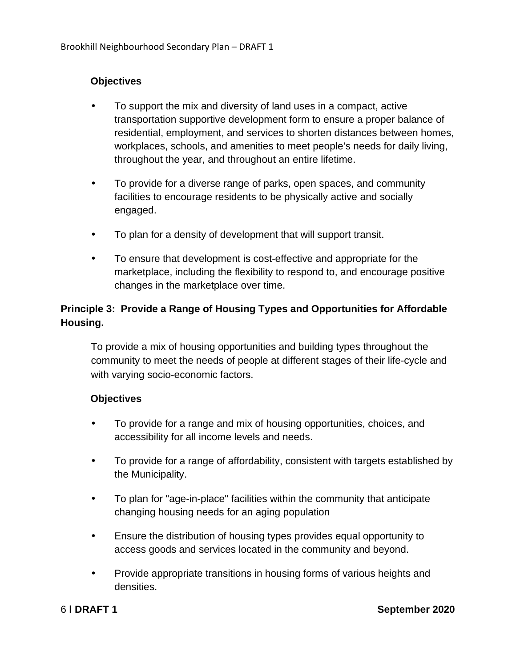#### **Objectives**

- To support the mix and diversity of land uses in a compact, active transportation supportive development form to ensure a proper balance of residential, employment, and services to shorten distances between homes, workplaces, schools, and amenities to meet people's needs for daily living, throughout the year, and throughout an entire lifetime.
- To provide for a diverse range of parks, open spaces, and community facilities to encourage residents to be physically active and socially engaged.
- To plan for a density of development that will support transit.
- To ensure that development is cost-effective and appropriate for the marketplace, including the flexibility to respond to, and encourage positive changes in the marketplace over time.

#### **Principle 3: Provide a Range of Housing Types and Opportunities for Affordable Housing.**

To provide a mix of housing opportunities and building types throughout the community to meet the needs of people at different stages of their life-cycle and with varying socio-economic factors.

#### **Objectives**

- To provide for a range and mix of housing opportunities, choices, and accessibility for all income levels and needs.
- To provide for a range of affordability, consistent with targets established by the Municipality.
- To plan for "age-in-place" facilities within the community that anticipate changing housing needs for an aging population
- Ensure the distribution of housing types provides equal opportunity to access goods and services located in the community and beyond.
- Provide appropriate transitions in housing forms of various heights and densities.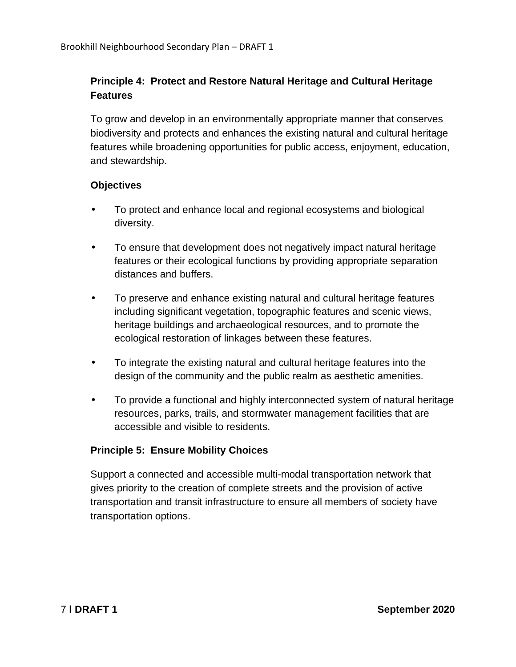#### **Principle 4: Protect and Restore Natural Heritage and Cultural Heritage Features**

To grow and develop in an environmentally appropriate manner that conserves biodiversity and protects and enhances the existing natural and cultural heritage features while broadening opportunities for public access, enjoyment, education, and stewardship.

#### **Objectives**

- To protect and enhance local and regional ecosystems and biological diversity.
- To ensure that development does not negatively impact natural heritage features or their ecological functions by providing appropriate separation distances and buffers.
- To preserve and enhance existing natural and cultural heritage features including significant vegetation, topographic features and scenic views, heritage buildings and archaeological resources, and to promote the ecological restoration of linkages between these features.
- To integrate the existing natural and cultural heritage features into the design of the community and the public realm as aesthetic amenities.
- To provide a functional and highly interconnected system of natural heritage resources, parks, trails, and stormwater management facilities that are accessible and visible to residents.

#### **Principle 5: Ensure Mobility Choices**

Support a connected and accessible multi-modal transportation network that gives priority to the creation of complete streets and the provision of active transportation and transit infrastructure to ensure all members of society have transportation options.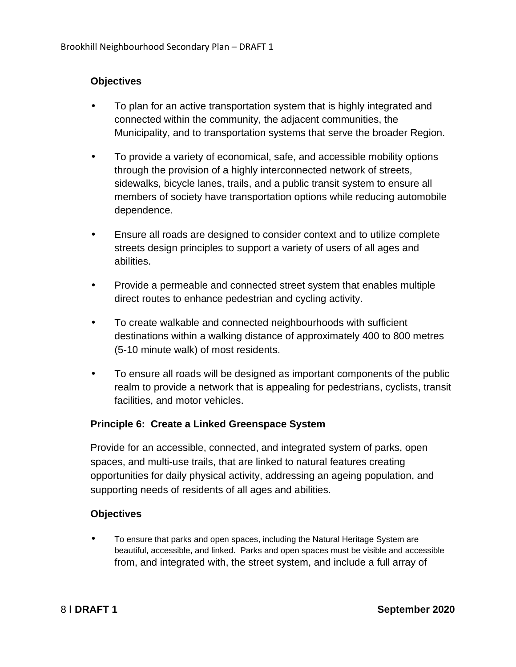#### **Objectives**

- To plan for an active transportation system that is highly integrated and connected within the community, the adjacent communities, the Municipality, and to transportation systems that serve the broader Region.
- To provide a variety of economical, safe, and accessible mobility options through the provision of a highly interconnected network of streets, sidewalks, bicycle lanes, trails, and a public transit system to ensure all members of society have transportation options while reducing automobile dependence.
- Ensure all roads are designed to consider context and to utilize complete streets design principles to support a variety of users of all ages and abilities.
- Provide a permeable and connected street system that enables multiple direct routes to enhance pedestrian and cycling activity.
- To create walkable and connected neighbourhoods with sufficient destinations within a walking distance of approximately 400 to 800 metres (5-10 minute walk) of most residents.
- To ensure all roads will be designed as important components of the public realm to provide a network that is appealing for pedestrians, cyclists, transit facilities, and motor vehicles.

#### **Principle 6: Create a Linked Greenspace System**

Provide for an accessible, connected, and integrated system of parks, open spaces, and multi-use trails, that are linked to natural features creating opportunities for daily physical activity, addressing an ageing population, and supporting needs of residents of all ages and abilities.

#### **Objectives**

• To ensure that parks and open spaces, including the Natural Heritage System are beautiful, accessible, and linked. Parks and open spaces must be visible and accessible from, and integrated with, the street system, and include a full array of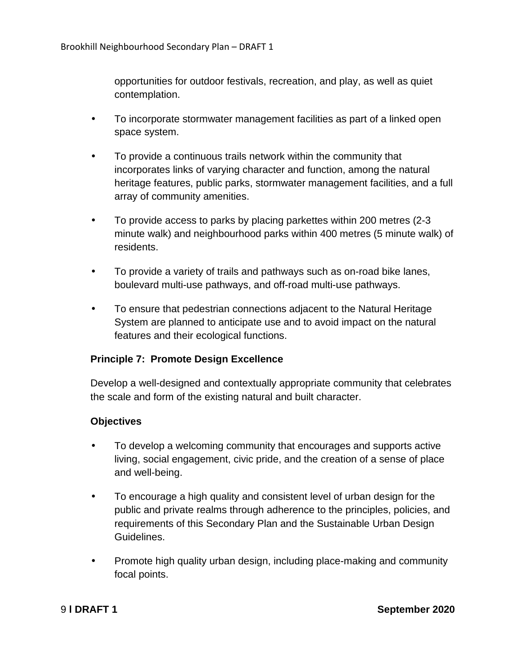opportunities for outdoor festivals, recreation, and play, as well as quiet contemplation.

- To incorporate stormwater management facilities as part of a linked open space system.
- To provide a continuous trails network within the community that incorporates links of varying character and function, among the natural heritage features, public parks, stormwater management facilities, and a full array of community amenities.
- To provide access to parks by placing parkettes within 200 metres (2-3 minute walk) and neighbourhood parks within 400 metres (5 minute walk) of residents.
- To provide a variety of trails and pathways such as on-road bike lanes, boulevard multi-use pathways, and off-road multi-use pathways.
- To ensure that pedestrian connections adjacent to the Natural Heritage System are planned to anticipate use and to avoid impact on the natural features and their ecological functions.

#### **Principle 7: Promote Design Excellence**

Develop a well-designed and contextually appropriate community that celebrates the scale and form of the existing natural and built character.

#### **Objectives**

- To develop a welcoming community that encourages and supports active living, social engagement, civic pride, and the creation of a sense of place and well-being.
- To encourage a high quality and consistent level of urban design for the public and private realms through adherence to the principles, policies, and requirements of this Secondary Plan and the Sustainable Urban Design Guidelines.
- Promote high quality urban design, including place-making and community focal points.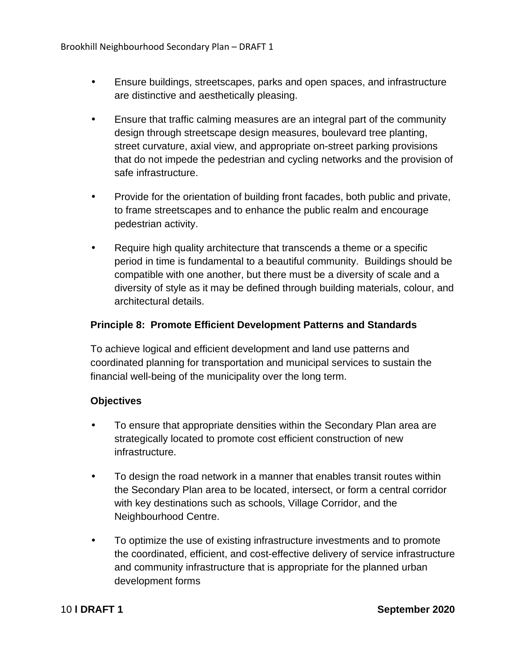- Ensure buildings, streetscapes, parks and open spaces, and infrastructure are distinctive and aesthetically pleasing.
- Ensure that traffic calming measures are an integral part of the community design through streetscape design measures, boulevard tree planting, street curvature, axial view, and appropriate on-street parking provisions that do not impede the pedestrian and cycling networks and the provision of safe infrastructure.
- Provide for the orientation of building front facades, both public and private, to frame streetscapes and to enhance the public realm and encourage pedestrian activity.
- Require high quality architecture that transcends a theme or a specific period in time is fundamental to a beautiful community. Buildings should be compatible with one another, but there must be a diversity of scale and a diversity of style as it may be defined through building materials, colour, and architectural details.

#### **Principle 8: Promote Efficient Development Patterns and Standards**

To achieve logical and efficient development and land use patterns and coordinated planning for transportation and municipal services to sustain the financial well-being of the municipality over the long term.

#### **Objectives**

- To ensure that appropriate densities within the Secondary Plan area are strategically located to promote cost efficient construction of new infrastructure.
- To design the road network in a manner that enables transit routes within the Secondary Plan area to be located, intersect, or form a central corridor with key destinations such as schools, Village Corridor, and the Neighbourhood Centre.
- To optimize the use of existing infrastructure investments and to promote the coordinated, efficient, and cost-effective delivery of service infrastructure and community infrastructure that is appropriate for the planned urban development forms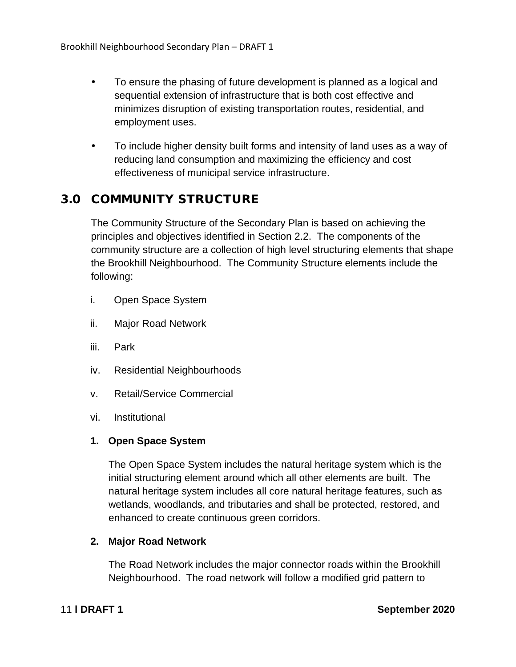- To ensure the phasing of future development is planned as a logical and sequential extension of infrastructure that is both cost effective and minimizes disruption of existing transportation routes, residential, and employment uses.
- To include higher density built forms and intensity of land uses as a way of reducing land consumption and maximizing the efficiency and cost effectiveness of municipal service infrastructure.

#### <span id="page-15-0"></span>3.0 COMMUNITY STRUCTURE

The Community Structure of the Secondary Plan is based on achieving the principles and objectives identified in Section 2.2. The components of the community structure are a collection of high level structuring elements that shape the Brookhill Neighbourhood. The Community Structure elements include the following:

- i. Open Space System
- ii. Major Road Network
- iii. Park
- iv. Residential Neighbourhoods
- v. Retail/Service Commercial
- vi. Institutional

#### **1. Open Space System**

The Open Space System includes the natural heritage system which is the initial structuring element around which all other elements are built. The natural heritage system includes all core natural heritage features, such as wetlands, woodlands, and tributaries and shall be protected, restored, and enhanced to create continuous green corridors.

#### **2. Major Road Network**

The Road Network includes the major connector roads within the Brookhill Neighbourhood. The road network will follow a modified grid pattern to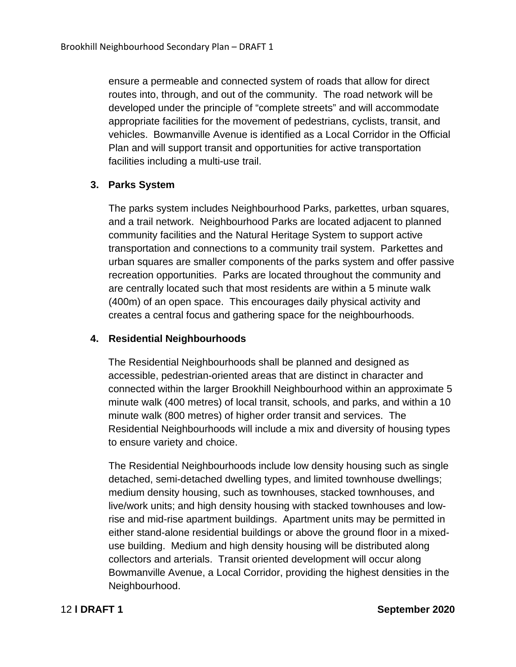ensure a permeable and connected system of roads that allow for direct routes into, through, and out of the community. The road network will be developed under the principle of "complete streets" and will accommodate appropriate facilities for the movement of pedestrians, cyclists, transit, and vehicles. Bowmanville Avenue is identified as a Local Corridor in the Official Plan and will support transit and opportunities for active transportation facilities including a multi-use trail.

#### **3. Parks System**

The parks system includes Neighbourhood Parks, parkettes, urban squares, and a trail network. Neighbourhood Parks are located adjacent to planned community facilities and the Natural Heritage System to support active transportation and connections to a community trail system. Parkettes and urban squares are smaller components of the parks system and offer passive recreation opportunities. Parks are located throughout the community and are centrally located such that most residents are within a 5 minute walk (400m) of an open space. This encourages daily physical activity and creates a central focus and gathering space for the neighbourhoods.

#### **4. Residential Neighbourhoods**

The Residential Neighbourhoods shall be planned and designed as accessible, pedestrian-oriented areas that are distinct in character and connected within the larger Brookhill Neighbourhood within an approximate 5 minute walk (400 metres) of local transit, schools, and parks, and within a 10 minute walk (800 metres) of higher order transit and services. The Residential Neighbourhoods will include a mix and diversity of housing types to ensure variety and choice.

The Residential Neighbourhoods include low density housing such as single detached, semi-detached dwelling types, and limited townhouse dwellings; medium density housing, such as townhouses, stacked townhouses, and live/work units; and high density housing with stacked townhouses and lowrise and mid-rise apartment buildings. Apartment units may be permitted in either stand-alone residential buildings or above the ground floor in a mixeduse building. Medium and high density housing will be distributed along collectors and arterials. Transit oriented development will occur along Bowmanville Avenue, a Local Corridor, providing the highest densities in the Neighbourhood.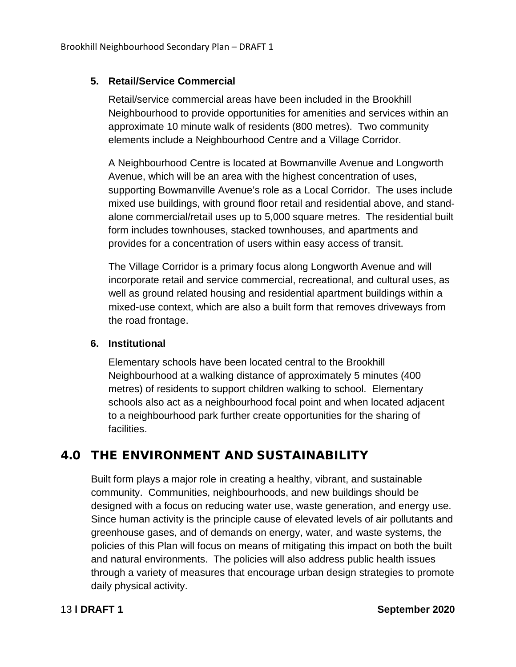#### **5. Retail/Service Commercial**

Retail/service commercial areas have been included in the Brookhill Neighbourhood to provide opportunities for amenities and services within an approximate 10 minute walk of residents (800 metres). Two community elements include a Neighbourhood Centre and a Village Corridor.

A Neighbourhood Centre is located at Bowmanville Avenue and Longworth Avenue, which will be an area with the highest concentration of uses, supporting Bowmanville Avenue's role as a Local Corridor. The uses include mixed use buildings, with ground floor retail and residential above, and standalone commercial/retail uses up to 5,000 square metres. The residential built form includes townhouses, stacked townhouses, and apartments and provides for a concentration of users within easy access of transit.

The Village Corridor is a primary focus along Longworth Avenue and will incorporate retail and service commercial, recreational, and cultural uses, as well as ground related housing and residential apartment buildings within a mixed-use context, which are also a built form that removes driveways from the road frontage.

#### **6. Institutional**

Elementary schools have been located central to the Brookhill Neighbourhood at a walking distance of approximately 5 minutes (400 metres) of residents to support children walking to school. Elementary schools also act as a neighbourhood focal point and when located adjacent to a neighbourhood park further create opportunities for the sharing of facilities.

#### <span id="page-17-0"></span>4.0 THE ENVIRONMENT AND SUSTAINABILITY

Built form plays a major role in creating a healthy, vibrant, and sustainable community. Communities, neighbourhoods, and new buildings should be designed with a focus on reducing water use, waste generation, and energy use. Since human activity is the principle cause of elevated levels of air pollutants and greenhouse gases, and of demands on energy, water, and waste systems, the policies of this Plan will focus on means of mitigating this impact on both the built and natural environments. The policies will also address public health issues through a variety of measures that encourage urban design strategies to promote daily physical activity.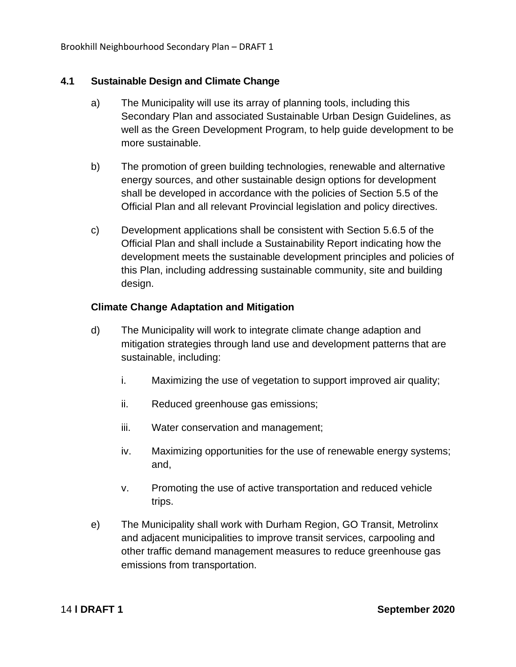Brookhill Neighbourhood Secondary Plan – DRAFT 1

#### <span id="page-18-0"></span>**4.1 Sustainable Design and Climate Change**

- a) The Municipality will use its array of planning tools, including this Secondary Plan and associated Sustainable Urban Design Guidelines, as well as the Green Development Program, to help guide development to be more sustainable.
- b) The promotion of green building technologies, renewable and alternative energy sources, and other sustainable design options for development shall be developed in accordance with the policies of Section 5.5 of the Official Plan and all relevant Provincial legislation and policy directives.
- c) Development applications shall be consistent with Section 5.6.5 of the Official Plan and shall include a Sustainability Report indicating how the development meets the sustainable development principles and policies of this Plan, including addressing sustainable community, site and building design.

#### **Climate Change Adaptation and Mitigation**

- d) The Municipality will work to integrate climate change adaption and mitigation strategies through land use and development patterns that are sustainable, including:
	- i. Maximizing the use of vegetation to support improved air quality;
	- ii. Reduced greenhouse gas emissions;
	- iii. Water conservation and management;
	- iv. Maximizing opportunities for the use of renewable energy systems; and,
	- v. Promoting the use of active transportation and reduced vehicle trips.
- e) The Municipality shall work with Durham Region, GO Transit, Metrolinx and adjacent municipalities to improve transit services, carpooling and other traffic demand management measures to reduce greenhouse gas emissions from transportation.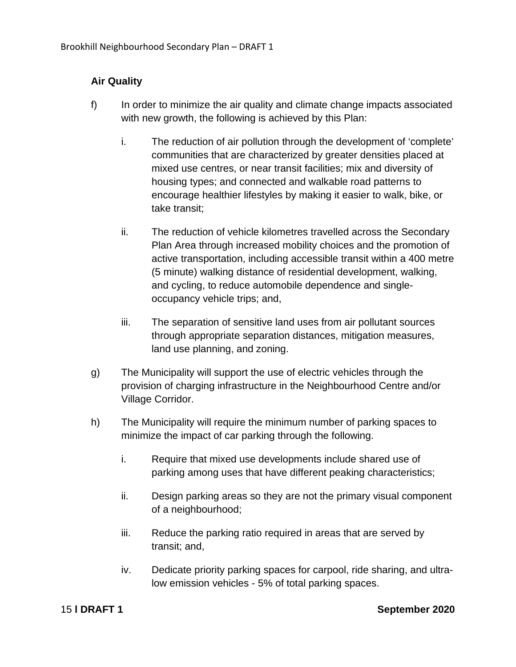#### **Air Quality**

- f) In order to minimize the air quality and climate change impacts associated with new growth, the following is achieved by this Plan:
	- i. The reduction of air pollution through the development of 'complete' communities that are characterized by greater densities placed at mixed use centres, or near transit facilities; mix and diversity of housing types; and connected and walkable road patterns to encourage healthier lifestyles by making it easier to walk, bike, or take transit;
	- ii. The reduction of vehicle kilometres travelled across the Secondary Plan Area through increased mobility choices and the promotion of active transportation, including accessible transit within a 400 metre (5 minute) walking distance of residential development, walking, and cycling, to reduce automobile dependence and singleoccupancy vehicle trips; and,
	- iii. The separation of sensitive land uses from air pollutant sources through appropriate separation distances, mitigation measures, land use planning, and zoning.
- g) The Municipality will support the use of electric vehicles through the provision of charging infrastructure in the Neighbourhood Centre and/or Village Corridor.
- h) The Municipality will require the minimum number of parking spaces to minimize the impact of car parking through the following.
	- i. Require that mixed use developments include shared use of parking among uses that have different peaking characteristics;
	- ii. Design parking areas so they are not the primary visual component of a neighbourhood;
	- iii. Reduce the parking ratio required in areas that are served by transit; and,
	- iv. Dedicate priority parking spaces for carpool, ride sharing, and ultralow emission vehicles - 5% of total parking spaces.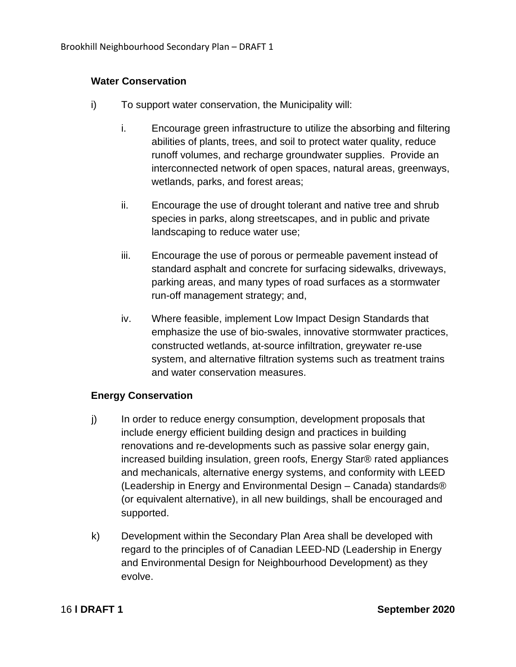#### **Water Conservation**

- i) To support water conservation, the Municipality will:
	- i. Encourage green infrastructure to utilize the absorbing and filtering abilities of plants, trees, and soil to protect water quality, reduce runoff volumes, and recharge groundwater supplies. Provide an interconnected network of open spaces, natural areas, greenways, wetlands, parks, and forest areas;
	- ii. Encourage the use of drought tolerant and native tree and shrub species in parks, along streetscapes, and in public and private landscaping to reduce water use;
	- iii. Encourage the use of porous or permeable pavement instead of standard asphalt and concrete for surfacing sidewalks, driveways, parking areas, and many types of road surfaces as a stormwater run-off management strategy; and,
	- iv. Where feasible, implement Low Impact Design Standards that emphasize the use of bio-swales, innovative stormwater practices, constructed wetlands, at-source infiltration, greywater re-use system, and alternative filtration systems such as treatment trains and water conservation measures.

#### **Energy Conservation**

- j) In order to reduce energy consumption, development proposals that include energy efficient building design and practices in building renovations and re-developments such as passive solar energy gain, increased building insulation, green roofs, Energy Star® rated appliances and mechanicals, alternative energy systems, and conformity with LEED (Leadership in Energy and Environmental Design – Canada) standards® (or equivalent alternative), in all new buildings, shall be encouraged and supported.
- k) Development within the Secondary Plan Area shall be developed with regard to the principles of of Canadian LEED-ND (Leadership in Energy and Environmental Design for Neighbourhood Development) as they evolve.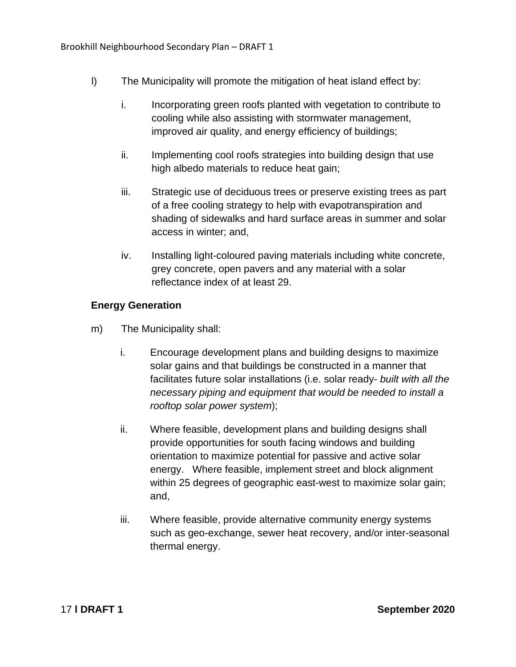- l) The Municipality will promote the mitigation of heat island effect by:
	- i. Incorporating green roofs planted with vegetation to contribute to cooling while also assisting with stormwater management, improved air quality, and energy efficiency of buildings;
	- ii. Implementing cool roofs strategies into building design that use high albedo materials to reduce heat gain;
	- iii. Strategic use of deciduous trees or preserve existing trees as part of a free cooling strategy to help with evapotranspiration and shading of sidewalks and hard surface areas in summer and solar access in winter; and,
	- iv. Installing light-coloured paving materials including white concrete, grey concrete, open pavers and any material with a solar reflectance index of at least 29.

#### **Energy Generation**

- m) The Municipality shall:
	- i. Encourage development plans and building designs to maximize solar gains and that buildings be constructed in a manner that facilitates future solar installations (i.e. solar ready- *built with all the necessary piping and equipment that would be needed to install a rooftop solar power system*);
	- ii. Where feasible, development plans and building designs shall provide opportunities for south facing windows and building orientation to maximize potential for passive and active solar energy. Where feasible, implement street and block alignment within 25 degrees of geographic east-west to maximize solar gain; and,
	- iii. Where feasible, provide alternative community energy systems such as geo-exchange, sewer heat recovery, and/or inter-seasonal thermal energy.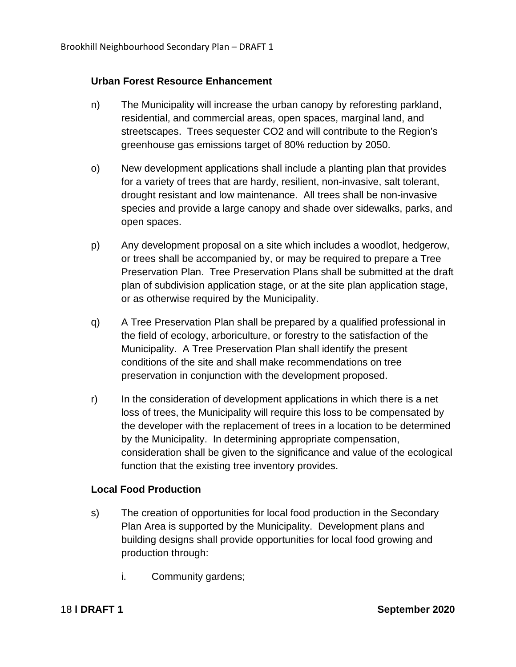#### **Urban Forest Resource Enhancement**

- n) The Municipality will increase the urban canopy by reforesting parkland, residential, and commercial areas, open spaces, marginal land, and streetscapes. Trees sequester CO2 and will contribute to the Region's greenhouse gas emissions target of 80% reduction by 2050.
- o) New development applications shall include a planting plan that provides for a variety of trees that are hardy, resilient, non-invasive, salt tolerant, drought resistant and low maintenance. All trees shall be non-invasive species and provide a large canopy and shade over sidewalks, parks, and open spaces.
- p) Any development proposal on a site which includes a woodlot, hedgerow, or trees shall be accompanied by, or may be required to prepare a Tree Preservation Plan. Tree Preservation Plans shall be submitted at the draft plan of subdivision application stage, or at the site plan application stage, or as otherwise required by the Municipality.
- q) A Tree Preservation Plan shall be prepared by a qualified professional in the field of ecology, arboriculture, or forestry to the satisfaction of the Municipality. A Tree Preservation Plan shall identify the present conditions of the site and shall make recommendations on tree preservation in conjunction with the development proposed.
- r) In the consideration of development applications in which there is a net loss of trees, the Municipality will require this loss to be compensated by the developer with the replacement of trees in a location to be determined by the Municipality. In determining appropriate compensation, consideration shall be given to the significance and value of the ecological function that the existing tree inventory provides.

#### **Local Food Production**

- s) The creation of opportunities for local food production in the Secondary Plan Area is supported by the Municipality. Development plans and building designs shall provide opportunities for local food growing and production through:
	- i. Community gardens;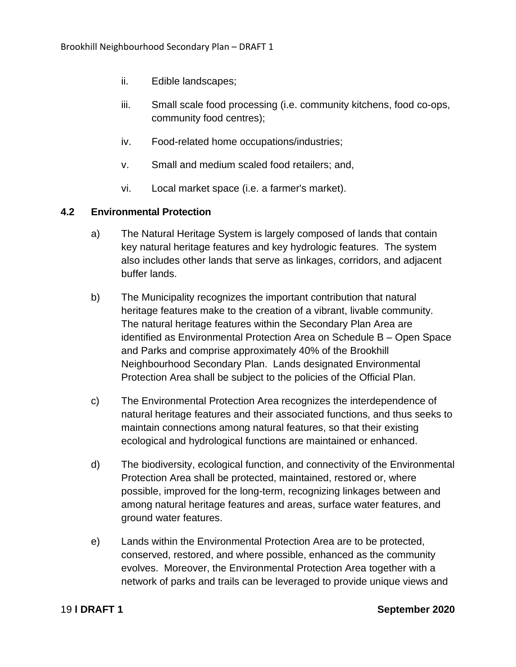- ii. Edible landscapes;
- iii. Small scale food processing (i.e. community kitchens, food co-ops, community food centres);
- iv. Food-related home occupations/industries;
- v. Small and medium scaled food retailers; and,
- vi. Local market space (i.e. a farmer's market).

#### <span id="page-23-0"></span>**4.2 Environmental Protection**

- a) The Natural Heritage System is largely composed of lands that contain key natural heritage features and key hydrologic features. The system also includes other lands that serve as linkages, corridors, and adjacent buffer lands.
- b) The Municipality recognizes the important contribution that natural heritage features make to the creation of a vibrant, livable community. The natural heritage features within the Secondary Plan Area are identified as Environmental Protection Area on Schedule B – Open Space and Parks and comprise approximately 40% of the Brookhill Neighbourhood Secondary Plan. Lands designated Environmental Protection Area shall be subject to the policies of the Official Plan.
- c) The Environmental Protection Area recognizes the interdependence of natural heritage features and their associated functions, and thus seeks to maintain connections among natural features, so that their existing ecological and hydrological functions are maintained or enhanced.
- d) The biodiversity, ecological function, and connectivity of the Environmental Protection Area shall be protected, maintained, restored or, where possible, improved for the long-term, recognizing linkages between and among natural heritage features and areas, surface water features, and ground water features.
- e) Lands within the Environmental Protection Area are to be protected, conserved, restored, and where possible, enhanced as the community evolves. Moreover, the Environmental Protection Area together with a network of parks and trails can be leveraged to provide unique views and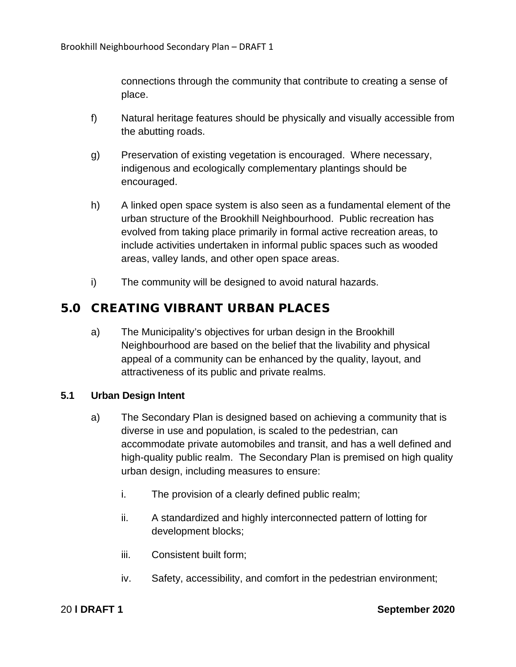connections through the community that contribute to creating a sense of place.

- f) Natural heritage features should be physically and visually accessible from the abutting roads.
- g) Preservation of existing vegetation is encouraged. Where necessary, indigenous and ecologically complementary plantings should be encouraged.
- h) A linked open space system is also seen as a fundamental element of the urban structure of the Brookhill Neighbourhood. Public recreation has evolved from taking place primarily in formal active recreation areas, to include activities undertaken in informal public spaces such as wooded areas, valley lands, and other open space areas.
- i) The community will be designed to avoid natural hazards.

#### <span id="page-24-0"></span>5.0 CREATING VIBRANT URBAN PLACES

a) The Municipality's objectives for urban design in the Brookhill Neighbourhood are based on the belief that the livability and physical appeal of a community can be enhanced by the quality, layout, and attractiveness of its public and private realms.

#### <span id="page-24-1"></span>**5.1 Urban Design Intent**

- a) The Secondary Plan is designed based on achieving a community that is diverse in use and population, is scaled to the pedestrian, can accommodate private automobiles and transit, and has a well defined and high-quality public realm. The Secondary Plan is premised on high quality urban design, including measures to ensure:
	- i. The provision of a clearly defined public realm;
	- ii. A standardized and highly interconnected pattern of lotting for development blocks;
	- iii. Consistent built form;
	- iv. Safety, accessibility, and comfort in the pedestrian environment;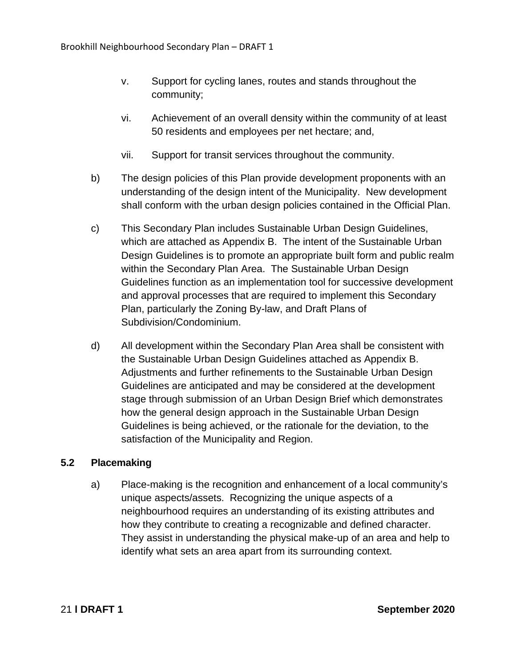- v. Support for cycling lanes, routes and stands throughout the community;
- vi. Achievement of an overall density within the community of at least 50 residents and employees per net hectare; and,
- vii. Support for transit services throughout the community.
- b) The design policies of this Plan provide development proponents with an understanding of the design intent of the Municipality. New development shall conform with the urban design policies contained in the Official Plan.
- c) This Secondary Plan includes Sustainable Urban Design Guidelines, which are attached as Appendix B. The intent of the Sustainable Urban Design Guidelines is to promote an appropriate built form and public realm within the Secondary Plan Area. The Sustainable Urban Design Guidelines function as an implementation tool for successive development and approval processes that are required to implement this Secondary Plan, particularly the Zoning By-law, and Draft Plans of Subdivision/Condominium.
- d) All development within the Secondary Plan Area shall be consistent with the Sustainable Urban Design Guidelines attached as Appendix B. Adjustments and further refinements to the Sustainable Urban Design Guidelines are anticipated and may be considered at the development stage through submission of an Urban Design Brief which demonstrates how the general design approach in the Sustainable Urban Design Guidelines is being achieved, or the rationale for the deviation, to the satisfaction of the Municipality and Region.

#### <span id="page-25-0"></span>**5.2 Placemaking**

a) Place-making is the recognition and enhancement of a local community's unique aspects/assets. Recognizing the unique aspects of a neighbourhood requires an understanding of its existing attributes and how they contribute to creating a recognizable and defined character. They assist in understanding the physical make-up of an area and help to identify what sets an area apart from its surrounding context.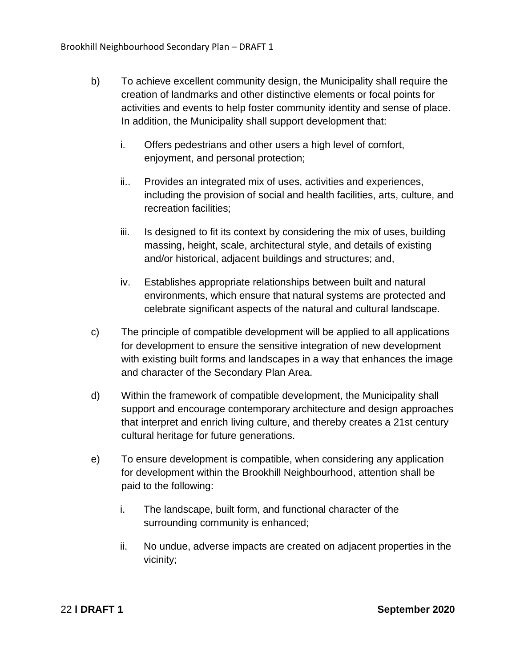- b) To achieve excellent community design, the Municipality shall require the creation of landmarks and other distinctive elements or focal points for activities and events to help foster community identity and sense of place. In addition, the Municipality shall support development that:
	- i. Offers pedestrians and other users a high level of comfort, enjoyment, and personal protection;
	- ii.. Provides an integrated mix of uses, activities and experiences, including the provision of social and health facilities, arts, culture, and recreation facilities;
	- iii. Is designed to fit its context by considering the mix of uses, building massing, height, scale, architectural style, and details of existing and/or historical, adjacent buildings and structures; and,
	- iv. Establishes appropriate relationships between built and natural environments, which ensure that natural systems are protected and celebrate significant aspects of the natural and cultural landscape.
- c) The principle of compatible development will be applied to all applications for development to ensure the sensitive integration of new development with existing built forms and landscapes in a way that enhances the image and character of the Secondary Plan Area.
- d) Within the framework of compatible development, the Municipality shall support and encourage contemporary architecture and design approaches that interpret and enrich living culture, and thereby creates a 21st century cultural heritage for future generations.
- e) To ensure development is compatible, when considering any application for development within the Brookhill Neighbourhood, attention shall be paid to the following:
	- i. The landscape, built form, and functional character of the surrounding community is enhanced;
	- ii. No undue, adverse impacts are created on adjacent properties in the vicinity;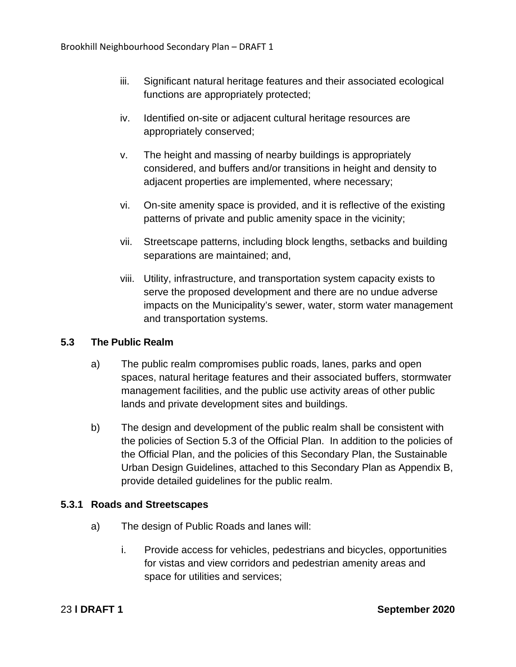- iii. Significant natural heritage features and their associated ecological functions are appropriately protected;
- iv. Identified on-site or adjacent cultural heritage resources are appropriately conserved;
- v. The height and massing of nearby buildings is appropriately considered, and buffers and/or transitions in height and density to adjacent properties are implemented, where necessary;
- vi. On-site amenity space is provided, and it is reflective of the existing patterns of private and public amenity space in the vicinity;
- vii. Streetscape patterns, including block lengths, setbacks and building separations are maintained; and,
- viii. Utility, infrastructure, and transportation system capacity exists to serve the proposed development and there are no undue adverse impacts on the Municipality's sewer, water, storm water management and transportation systems.

#### <span id="page-27-0"></span>**5.3 The Public Realm**

- a) The public realm compromises public roads, lanes, parks and open spaces, natural heritage features and their associated buffers, stormwater management facilities, and the public use activity areas of other public lands and private development sites and buildings.
- b) The design and development of the public realm shall be consistent with the policies of Section 5.3 of the Official Plan. In addition to the policies of the Official Plan, and the policies of this Secondary Plan, the Sustainable Urban Design Guidelines, attached to this Secondary Plan as Appendix B, provide detailed guidelines for the public realm.

#### <span id="page-27-1"></span>**5.3.1 Roads and Streetscapes**

- a) The design of Public Roads and lanes will:
	- i. Provide access for vehicles, pedestrians and bicycles, opportunities for vistas and view corridors and pedestrian amenity areas and space for utilities and services;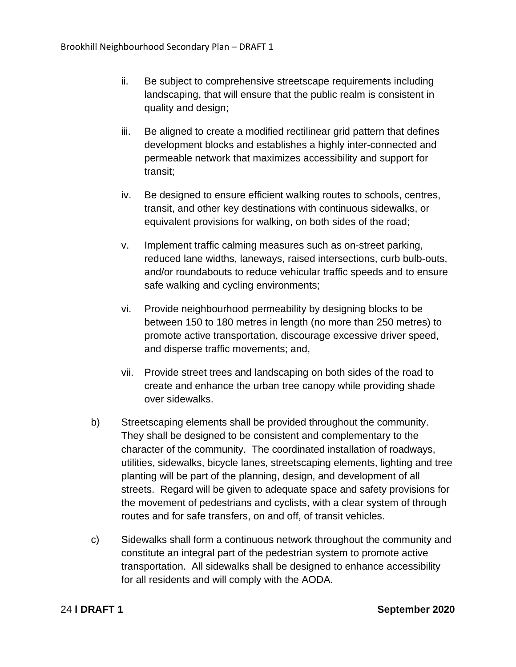- ii. Be subject to comprehensive streetscape requirements including landscaping, that will ensure that the public realm is consistent in quality and design;
- iii. Be aligned to create a modified rectilinear grid pattern that defines development blocks and establishes a highly inter-connected and permeable network that maximizes accessibility and support for transit;
- iv. Be designed to ensure efficient walking routes to schools, centres, transit, and other key destinations with continuous sidewalks, or equivalent provisions for walking, on both sides of the road;
- v. Implement traffic calming measures such as on-street parking, reduced lane widths, laneways, raised intersections, curb bulb-outs, and/or roundabouts to reduce vehicular traffic speeds and to ensure safe walking and cycling environments;
- vi. Provide neighbourhood permeability by designing blocks to be between 150 to 180 metres in length (no more than 250 metres) to promote active transportation, discourage excessive driver speed, and disperse traffic movements; and,
- vii. Provide street trees and landscaping on both sides of the road to create and enhance the urban tree canopy while providing shade over sidewalks.
- b) Streetscaping elements shall be provided throughout the community. They shall be designed to be consistent and complementary to the character of the community. The coordinated installation of roadways, utilities, sidewalks, bicycle lanes, streetscaping elements, lighting and tree planting will be part of the planning, design, and development of all streets. Regard will be given to adequate space and safety provisions for the movement of pedestrians and cyclists, with a clear system of through routes and for safe transfers, on and off, of transit vehicles.
- c) Sidewalks shall form a continuous network throughout the community and constitute an integral part of the pedestrian system to promote active transportation. All sidewalks shall be designed to enhance accessibility for all residents and will comply with the AODA.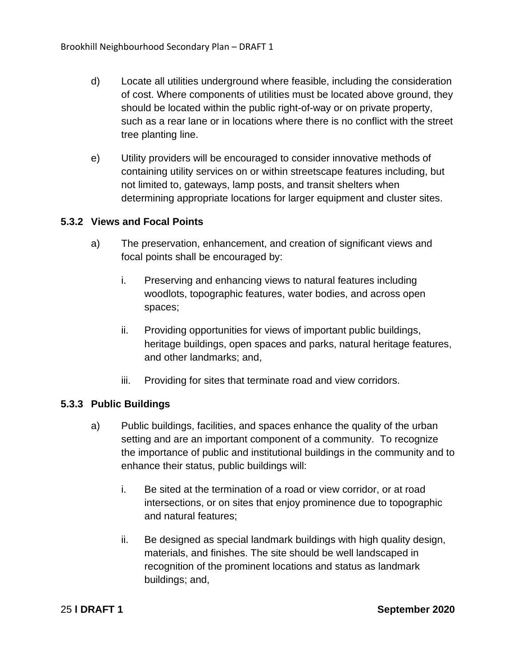- d) Locate all utilities underground where feasible, including the consideration of cost. Where components of utilities must be located above ground, they should be located within the public right-of-way or on private property, such as a rear lane or in locations where there is no conflict with the street tree planting line.
- e) Utility providers will be encouraged to consider innovative methods of containing utility services on or within streetscape features including, but not limited to, gateways, lamp posts, and transit shelters when determining appropriate locations for larger equipment and cluster sites.

#### <span id="page-29-0"></span>**5.3.2 Views and Focal Points**

- a) The preservation, enhancement, and creation of significant views and focal points shall be encouraged by:
	- i. Preserving and enhancing views to natural features including woodlots, topographic features, water bodies, and across open spaces;
	- ii. Providing opportunities for views of important public buildings, heritage buildings, open spaces and parks, natural heritage features, and other landmarks; and,
	- iii. Providing for sites that terminate road and view corridors.

#### <span id="page-29-1"></span>**5.3.3 Public Buildings**

- a) Public buildings, facilities, and spaces enhance the quality of the urban setting and are an important component of a community. To recognize the importance of public and institutional buildings in the community and to enhance their status, public buildings will:
	- i. Be sited at the termination of a road or view corridor, or at road intersections, or on sites that enjoy prominence due to topographic and natural features;
	- ii. Be designed as special landmark buildings with high quality design, materials, and finishes. The site should be well landscaped in recognition of the prominent locations and status as landmark buildings; and,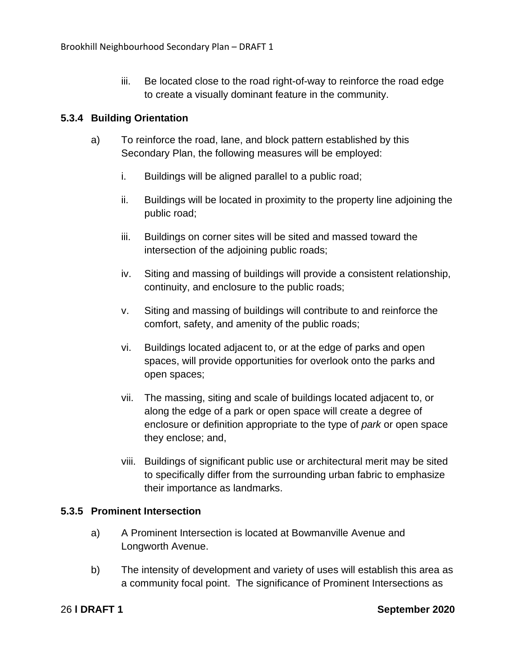iii. Be located close to the road right-of-way to reinforce the road edge to create a visually dominant feature in the community.

#### <span id="page-30-0"></span>**5.3.4 Building Orientation**

- a) To reinforce the road, lane, and block pattern established by this Secondary Plan, the following measures will be employed:
	- i. Buildings will be aligned parallel to a public road;
	- ii. Buildings will be located in proximity to the property line adjoining the public road;
	- iii. Buildings on corner sites will be sited and massed toward the intersection of the adjoining public roads;
	- iv. Siting and massing of buildings will provide a consistent relationship, continuity, and enclosure to the public roads;
	- v. Siting and massing of buildings will contribute to and reinforce the comfort, safety, and amenity of the public roads;
	- vi. Buildings located adjacent to, or at the edge of parks and open spaces, will provide opportunities for overlook onto the parks and open spaces;
	- vii. The massing, siting and scale of buildings located adjacent to, or along the edge of a park or open space will create a degree of enclosure or definition appropriate to the type of *park* or open space they enclose; and,
	- viii. Buildings of significant public use or architectural merit may be sited to specifically differ from the surrounding urban fabric to emphasize their importance as landmarks.

#### <span id="page-30-1"></span>**5.3.5 Prominent Intersection**

- a) A Prominent Intersection is located at Bowmanville Avenue and Longworth Avenue.
- b) The intensity of development and variety of uses will establish this area as a community focal point. The significance of Prominent Intersections as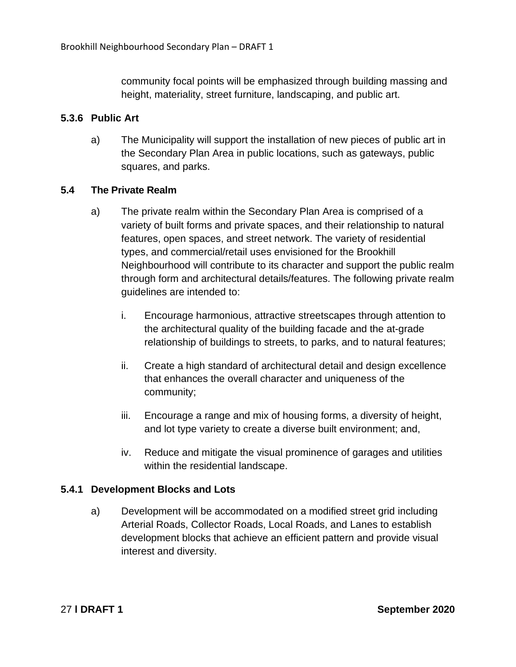community focal points will be emphasized through building massing and height, materiality, street furniture, landscaping, and public art.

#### <span id="page-31-0"></span>**5.3.6 Public Art**

a) The Municipality will support the installation of new pieces of public art in the Secondary Plan Area in public locations, such as gateways, public squares, and parks.

#### <span id="page-31-1"></span>**5.4 The Private Realm**

- a) The private realm within the Secondary Plan Area is comprised of a variety of built forms and private spaces, and their relationship to natural features, open spaces, and street network. The variety of residential types, and commercial/retail uses envisioned for the Brookhill Neighbourhood will contribute to its character and support the public realm through form and architectural details/features. The following private realm guidelines are intended to:
	- i. Encourage harmonious, attractive streetscapes through attention to the architectural quality of the building facade and the at-grade relationship of buildings to streets, to parks, and to natural features;
	- ii. Create a high standard of architectural detail and design excellence that enhances the overall character and uniqueness of the community;
	- iii. Encourage a range and mix of housing forms, a diversity of height, and lot type variety to create a diverse built environment; and,
	- iv. Reduce and mitigate the visual prominence of garages and utilities within the residential landscape.

#### <span id="page-31-2"></span>**5.4.1 Development Blocks and Lots**

a) Development will be accommodated on a modified street grid including Arterial Roads, Collector Roads, Local Roads, and Lanes to establish development blocks that achieve an efficient pattern and provide visual interest and diversity.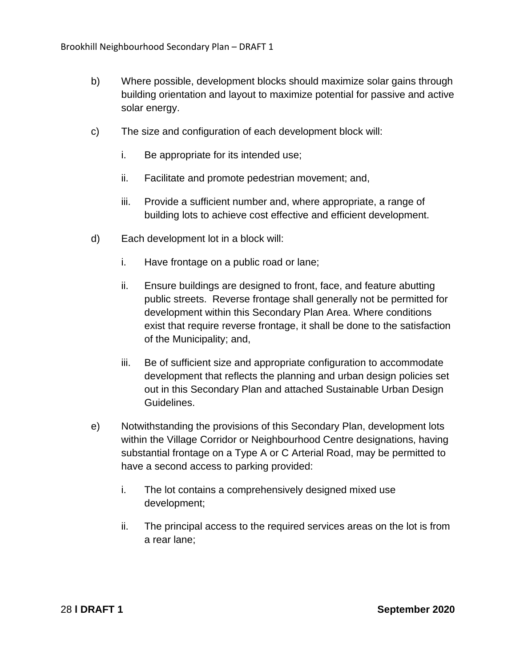- b) Where possible, development blocks should maximize solar gains through building orientation and layout to maximize potential for passive and active solar energy.
- c) The size and configuration of each development block will:
	- i. Be appropriate for its intended use;
	- ii. Facilitate and promote pedestrian movement; and,
	- iii. Provide a sufficient number and, where appropriate, a range of building lots to achieve cost effective and efficient development.
- d) Each development lot in a block will:
	- i. Have frontage on a public road or lane;
	- ii. Ensure buildings are designed to front, face, and feature abutting public streets. Reverse frontage shall generally not be permitted for development within this Secondary Plan Area. Where conditions exist that require reverse frontage, it shall be done to the satisfaction of the Municipality; and,
	- iii. Be of sufficient size and appropriate configuration to accommodate development that reflects the planning and urban design policies set out in this Secondary Plan and attached Sustainable Urban Design Guidelines.
- e) Notwithstanding the provisions of this Secondary Plan, development lots within the Village Corridor or Neighbourhood Centre designations, having substantial frontage on a Type A or C Arterial Road, may be permitted to have a second access to parking provided:
	- i. The lot contains a comprehensively designed mixed use development;
	- ii. The principal access to the required services areas on the lot is from a rear lane;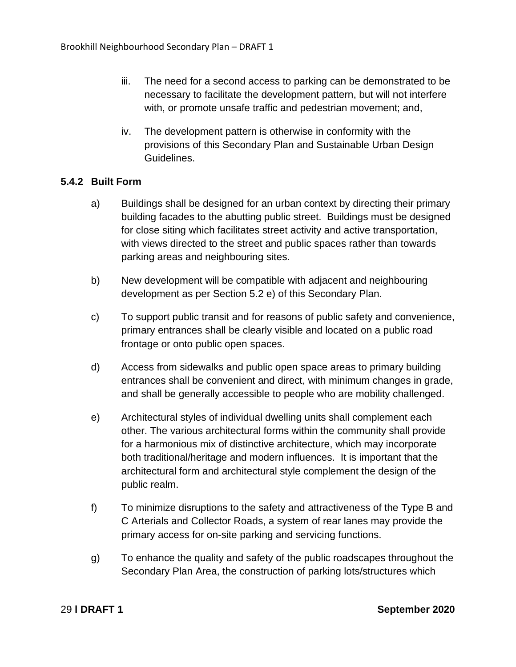- iii. The need for a second access to parking can be demonstrated to be necessary to facilitate the development pattern, but will not interfere with, or promote unsafe traffic and pedestrian movement; and,
- iv. The development pattern is otherwise in conformity with the provisions of this Secondary Plan and Sustainable Urban Design Guidelines.

#### <span id="page-33-0"></span>**5.4.2 Built Form**

- a) Buildings shall be designed for an urban context by directing their primary building facades to the abutting public street. Buildings must be designed for close siting which facilitates street activity and active transportation, with views directed to the street and public spaces rather than towards parking areas and neighbouring sites.
- b) New development will be compatible with adjacent and neighbouring development as per Section 5.2 e) of this Secondary Plan.
- c) To support public transit and for reasons of public safety and convenience, primary entrances shall be clearly visible and located on a public road frontage or onto public open spaces.
- d) Access from sidewalks and public open space areas to primary building entrances shall be convenient and direct, with minimum changes in grade, and shall be generally accessible to people who are mobility challenged.
- e) Architectural styles of individual dwelling units shall complement each other. The various architectural forms within the community shall provide for a harmonious mix of distinctive architecture, which may incorporate both traditional/heritage and modern influences. It is important that the architectural form and architectural style complement the design of the public realm.
- f) To minimize disruptions to the safety and attractiveness of the Type B and C Arterials and Collector Roads, a system of rear lanes may provide the primary access for on-site parking and servicing functions.
- g) To enhance the quality and safety of the public roadscapes throughout the Secondary Plan Area, the construction of parking lots/structures which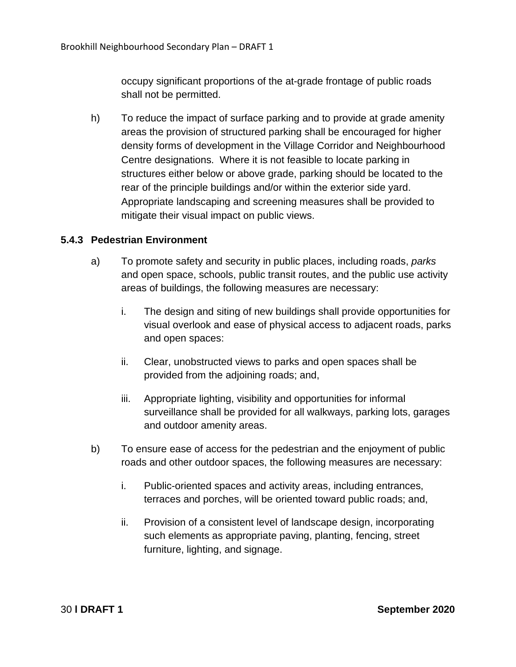occupy significant proportions of the at-grade frontage of public roads shall not be permitted.

h) To reduce the impact of surface parking and to provide at grade amenity areas the provision of structured parking shall be encouraged for higher density forms of development in the Village Corridor and Neighbourhood Centre designations. Where it is not feasible to locate parking in structures either below or above grade, parking should be located to the rear of the principle buildings and/or within the exterior side yard. Appropriate landscaping and screening measures shall be provided to mitigate their visual impact on public views.

#### <span id="page-34-0"></span>**5.4.3 Pedestrian Environment**

- a) To promote safety and security in public places, including roads, *parks*  and open space, schools, public transit routes, and the public use activity areas of buildings, the following measures are necessary:
	- i. The design and siting of new buildings shall provide opportunities for visual overlook and ease of physical access to adjacent roads, parks and open spaces:
	- ii. Clear, unobstructed views to parks and open spaces shall be provided from the adjoining roads; and,
	- iii. Appropriate lighting, visibility and opportunities for informal surveillance shall be provided for all walkways, parking lots, garages and outdoor amenity areas.
- b) To ensure ease of access for the pedestrian and the enjoyment of public roads and other outdoor spaces, the following measures are necessary:
	- i. Public-oriented spaces and activity areas, including entrances, terraces and porches, will be oriented toward public roads; and,
	- ii. Provision of a consistent level of landscape design, incorporating such elements as appropriate paving, planting, fencing, street furniture, lighting, and signage.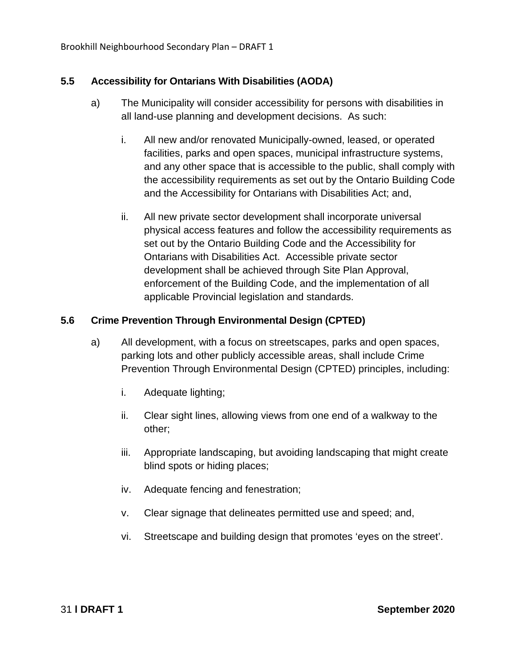#### <span id="page-35-0"></span>**5.5 Accessibility for Ontarians With Disabilities (AODA)**

- a) The Municipality will consider accessibility for persons with disabilities in all land-use planning and development decisions. As such:
	- i. All new and/or renovated Municipally-owned, leased, or operated facilities, parks and open spaces, municipal infrastructure systems, and any other space that is accessible to the public, shall comply with the accessibility requirements as set out by the Ontario Building Code and the Accessibility for Ontarians with Disabilities Act; and,
	- ii. All new private sector development shall incorporate universal physical access features and follow the accessibility requirements as set out by the Ontario Building Code and the Accessibility for Ontarians with Disabilities Act. Accessible private sector development shall be achieved through Site Plan Approval, enforcement of the Building Code, and the implementation of all applicable Provincial legislation and standards.

#### <span id="page-35-1"></span>**5.6 Crime Prevention Through Environmental Design (CPTED)**

- a) All development, with a focus on streetscapes, parks and open spaces, parking lots and other publicly accessible areas, shall include Crime Prevention Through Environmental Design (CPTED) principles, including:
	- i. Adequate lighting;
	- ii. Clear sight lines, allowing views from one end of a walkway to the other;
	- iii. Appropriate landscaping, but avoiding landscaping that might create blind spots or hiding places;
	- iv. Adequate fencing and fenestration;
	- v. Clear signage that delineates permitted use and speed; and,
	- vi. Streetscape and building design that promotes 'eyes on the street'.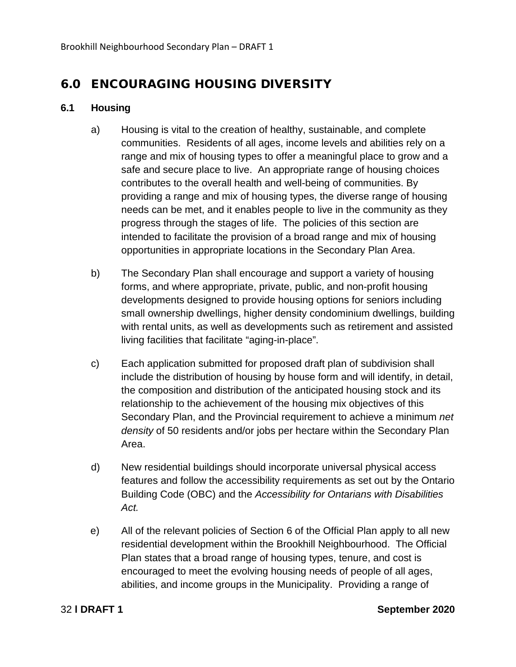# 6.0 ENCOURAGING HOUSING DIVERSITY

# **6.1 Housing**

- a) Housing is vital to the creation of healthy, sustainable, and complete communities. Residents of all ages, income levels and abilities rely on a range and mix of housing types to offer a meaningful place to grow and a safe and secure place to live. An appropriate range of housing choices contributes to the overall health and well-being of communities. By providing a range and mix of housing types, the diverse range of housing needs can be met, and it enables people to live in the community as they progress through the stages of life. The policies of this section are intended to facilitate the provision of a broad range and mix of housing opportunities in appropriate locations in the Secondary Plan Area.
- b) The Secondary Plan shall encourage and support a variety of housing forms, and where appropriate, private, public, and non-profit housing developments designed to provide housing options for seniors including small ownership dwellings, higher density condominium dwellings, building with rental units, as well as developments such as retirement and assisted living facilities that facilitate "aging-in-place".
- c) Each application submitted for proposed draft plan of subdivision shall include the distribution of housing by house form and will identify, in detail, the composition and distribution of the anticipated housing stock and its relationship to the achievement of the housing mix objectives of this Secondary Plan, and the Provincial requirement to achieve a minimum *net density* of 50 residents and/or jobs per hectare within the Secondary Plan Area.
- d) New residential buildings should incorporate universal physical access features and follow the accessibility requirements as set out by the Ontario Building Code (OBC) and the *Accessibility for Ontarians with Disabilities Act.*
- e) All of the relevant policies of Section 6 of the Official Plan apply to all new residential development within the Brookhill Neighbourhood. The Official Plan states that a broad range of housing types, tenure, and cost is encouraged to meet the evolving housing needs of people of all ages, abilities, and income groups in the Municipality. Providing a range of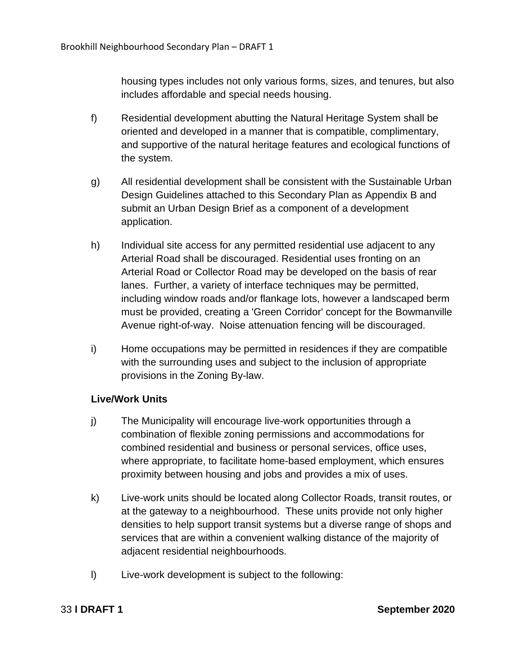housing types includes not only various forms, sizes, and tenures, but also includes affordable and special needs housing.

- f) Residential development abutting the Natural Heritage System shall be oriented and developed in a manner that is compatible, complimentary, and supportive of the natural heritage features and ecological functions of the system.
- g) All residential development shall be consistent with the Sustainable Urban Design Guidelines attached to this Secondary Plan as Appendix B and submit an Urban Design Brief as a component of a development application.
- h) Individual site access for any permitted residential use adjacent to any Arterial Road shall be discouraged. Residential uses fronting on an Arterial Road or Collector Road may be developed on the basis of rear lanes. Further, a variety of interface techniques may be permitted, including window roads and/or flankage lots, however a landscaped berm must be provided, creating a 'Green Corridor' concept for the Bowmanville Avenue right-of-way. Noise attenuation fencing will be discouraged.
- i) Home occupations may be permitted in residences if they are compatible with the surrounding uses and subject to the inclusion of appropriate provisions in the Zoning By-law.

# **Live/Work Units**

- j) The Municipality will encourage live-work opportunities through a combination of flexible zoning permissions and accommodations for combined residential and business or personal services, office uses, where appropriate, to facilitate home-based employment, which ensures proximity between housing and jobs and provides a mix of uses.
- k) Live-work units should be located along Collector Roads, transit routes, or at the gateway to a neighbourhood. These units provide not only higher densities to help support transit systems but a diverse range of shops and services that are within a convenient walking distance of the majority of adjacent residential neighbourhoods.
- l) Live-work development is subject to the following: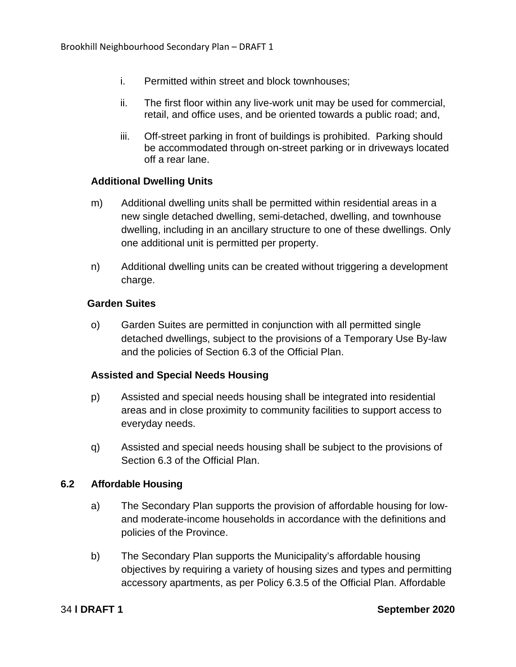- i. Permitted within street and block townhouses;
- ii. The first floor within any live-work unit may be used for commercial, retail, and office uses, and be oriented towards a public road; and,
- iii. Off-street parking in front of buildings is prohibited. Parking should be accommodated through on-street parking or in driveways located off a rear lane.

## **Additional Dwelling Units**

- m) Additional dwelling units shall be permitted within residential areas in a new single detached dwelling, semi-detached, dwelling, and townhouse dwelling, including in an ancillary structure to one of these dwellings. Only one additional unit is permitted per property.
- n) Additional dwelling units can be created without triggering a development charge.

### **Garden Suites**

o) Garden Suites are permitted in conjunction with all permitted single detached dwellings, subject to the provisions of a Temporary Use By-law and the policies of Section 6.3 of the Official Plan.

# **Assisted and Special Needs Housing**

- p) Assisted and special needs housing shall be integrated into residential areas and in close proximity to community facilities to support access to everyday needs.
- q) Assisted and special needs housing shall be subject to the provisions of Section 6.3 of the Official Plan.

### **6.2 Affordable Housing**

- a) The Secondary Plan supports the provision of affordable housing for lowand moderate-income households in accordance with the definitions and policies of the Province.
- b) The Secondary Plan supports the Municipality's affordable housing objectives by requiring a variety of housing sizes and types and permitting accessory apartments, as per Policy 6.3.5 of the Official Plan. Affordable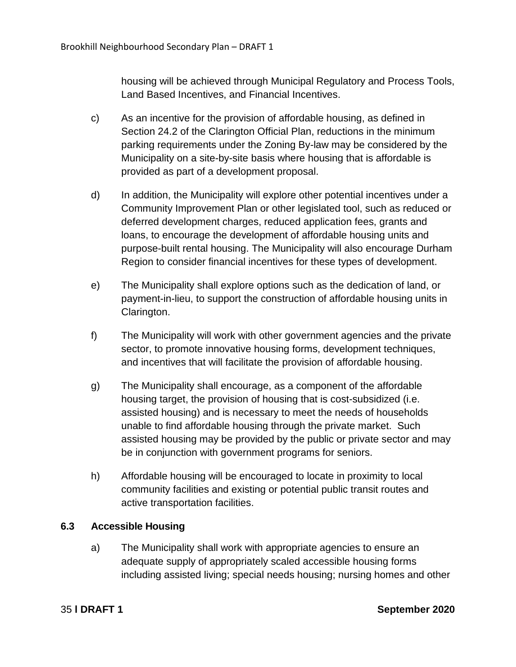housing will be achieved through Municipal Regulatory and Process Tools, Land Based Incentives, and Financial Incentives.

- c) As an incentive for the provision of affordable housing, as defined in Section 24.2 of the Clarington Official Plan, reductions in the minimum parking requirements under the Zoning By-law may be considered by the Municipality on a site-by-site basis where housing that is affordable is provided as part of a development proposal.
- d) In addition, the Municipality will explore other potential incentives under a Community Improvement Plan or other legislated tool, such as reduced or deferred development charges, reduced application fees, grants and loans, to encourage the development of affordable housing units and purpose-built rental housing. The Municipality will also encourage Durham Region to consider financial incentives for these types of development.
- e) The Municipality shall explore options such as the dedication of land, or payment-in-lieu, to support the construction of affordable housing units in Clarington.
- f) The Municipality will work with other government agencies and the private sector, to promote innovative housing forms, development techniques, and incentives that will facilitate the provision of affordable housing.
- g) The Municipality shall encourage, as a component of the affordable housing target, the provision of housing that is cost-subsidized (i.e. assisted housing) and is necessary to meet the needs of households unable to find affordable housing through the private market. Such assisted housing may be provided by the public or private sector and may be in conjunction with government programs for seniors.
- h) Affordable housing will be encouraged to locate in proximity to local community facilities and existing or potential public transit routes and active transportation facilities.

# **6.3 Accessible Housing**

a) The Municipality shall work with appropriate agencies to ensure an adequate supply of appropriately scaled accessible housing forms including assisted living; special needs housing; nursing homes and other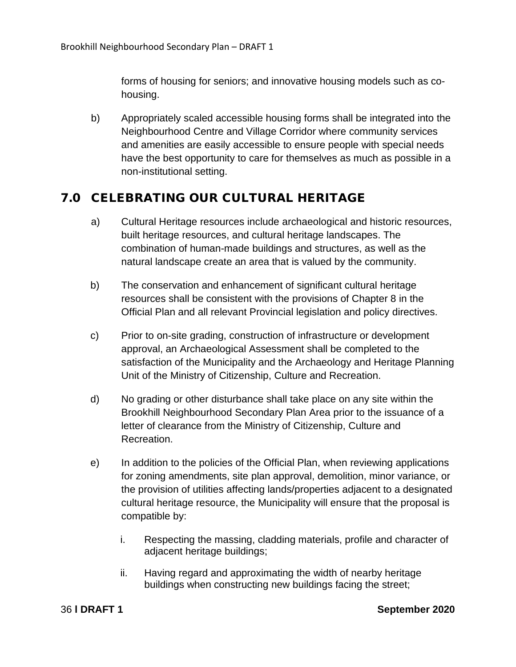forms of housing for seniors; and innovative housing models such as cohousing.

b) Appropriately scaled accessible housing forms shall be integrated into the Neighbourhood Centre and Village Corridor where community services and amenities are easily accessible to ensure people with special needs have the best opportunity to care for themselves as much as possible in a non-institutional setting.

# 7.0 CELEBRATING OUR CULTURAL HERITAGE

- a) Cultural Heritage resources include archaeological and historic resources, built heritage resources, and cultural heritage landscapes. The combination of human-made buildings and structures, as well as the natural landscape create an area that is valued by the community.
- b) The conservation and enhancement of significant cultural heritage resources shall be consistent with the provisions of Chapter 8 in the Official Plan and all relevant Provincial legislation and policy directives.
- c) Prior to on-site grading, construction of infrastructure or development approval, an Archaeological Assessment shall be completed to the satisfaction of the Municipality and the Archaeology and Heritage Planning Unit of the Ministry of Citizenship, Culture and Recreation.
- d) No grading or other disturbance shall take place on any site within the Brookhill Neighbourhood Secondary Plan Area prior to the issuance of a letter of clearance from the Ministry of Citizenship, Culture and Recreation.
- e) In addition to the policies of the Official Plan, when reviewing applications for zoning amendments, site plan approval, demolition, minor variance, or the provision of utilities affecting lands/properties adjacent to a designated cultural heritage resource, the Municipality will ensure that the proposal is compatible by:
	- i. Respecting the massing, cladding materials, profile and character of adjacent heritage buildings;
	- ii. Having regard and approximating the width of nearby heritage buildings when constructing new buildings facing the street;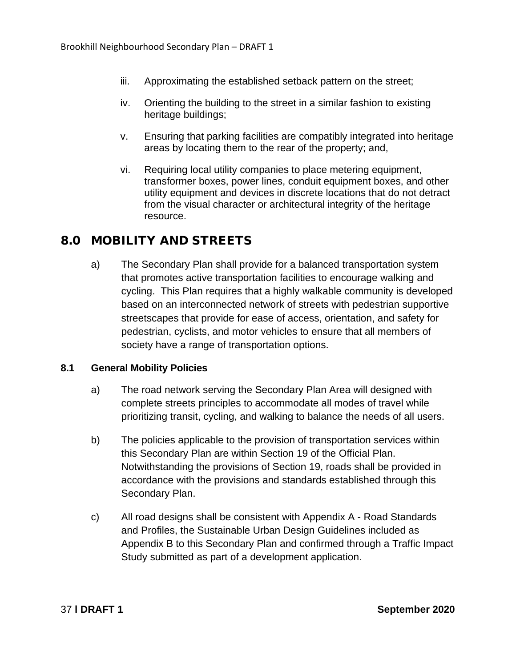- iii. Approximating the established setback pattern on the street;
- iv. Orienting the building to the street in a similar fashion to existing heritage buildings;
- v. Ensuring that parking facilities are compatibly integrated into heritage areas by locating them to the rear of the property; and,
- vi. Requiring local utility companies to place metering equipment, transformer boxes, power lines, conduit equipment boxes, and other utility equipment and devices in discrete locations that do not detract from the visual character or architectural integrity of the heritage resource.

# 8.0 MOBILITY AND STREETS

a) The Secondary Plan shall provide for a balanced transportation system that promotes active transportation facilities to encourage walking and cycling. This Plan requires that a highly walkable community is developed based on an interconnected network of streets with pedestrian supportive streetscapes that provide for ease of access, orientation, and safety for pedestrian, cyclists, and motor vehicles to ensure that all members of society have a range of transportation options.

# **8.1 General Mobility Policies**

- a) The road network serving the Secondary Plan Area will designed with complete streets principles to accommodate all modes of travel while prioritizing transit, cycling, and walking to balance the needs of all users.
- b) The policies applicable to the provision of transportation services within this Secondary Plan are within Section 19 of the Official Plan. Notwithstanding the provisions of Section 19, roads shall be provided in accordance with the provisions and standards established through this Secondary Plan.
- c) All road designs shall be consistent with Appendix A Road Standards and Profiles, the Sustainable Urban Design Guidelines included as Appendix B to this Secondary Plan and confirmed through a Traffic Impact Study submitted as part of a development application.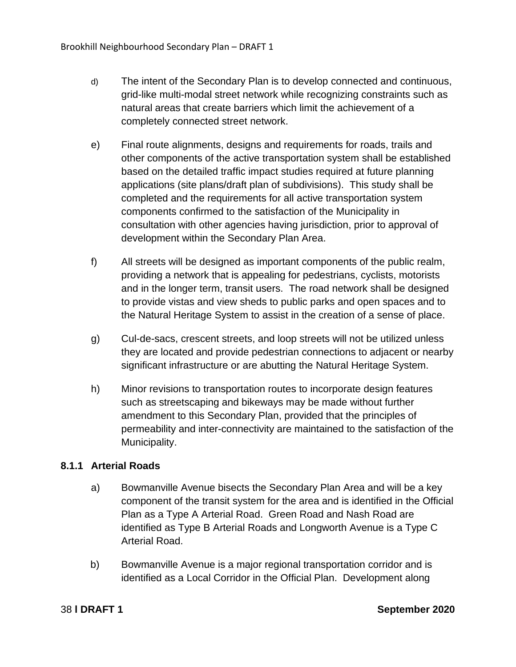- d) The intent of the Secondary Plan is to develop connected and continuous, grid-like multi-modal street network while recognizing constraints such as natural areas that create barriers which limit the achievement of a completely connected street network.
- e) Final route alignments, designs and requirements for roads, trails and other components of the active transportation system shall be established based on the detailed traffic impact studies required at future planning applications (site plans/draft plan of subdivisions). This study shall be completed and the requirements for all active transportation system components confirmed to the satisfaction of the Municipality in consultation with other agencies having jurisdiction, prior to approval of development within the Secondary Plan Area.
- f) All streets will be designed as important components of the public realm, providing a network that is appealing for pedestrians, cyclists, motorists and in the longer term, transit users. The road network shall be designed to provide vistas and view sheds to public parks and open spaces and to the Natural Heritage System to assist in the creation of a sense of place.
- g) Cul-de-sacs, crescent streets, and loop streets will not be utilized unless they are located and provide pedestrian connections to adjacent or nearby significant infrastructure or are abutting the Natural Heritage System.
- h) Minor revisions to transportation routes to incorporate design features such as streetscaping and bikeways may be made without further amendment to this Secondary Plan, provided that the principles of permeability and inter-connectivity are maintained to the satisfaction of the Municipality.

# **8.1.1 Arterial Roads**

- a) Bowmanville Avenue bisects the Secondary Plan Area and will be a key component of the transit system for the area and is identified in the Official Plan as a Type A Arterial Road. Green Road and Nash Road are identified as Type B Arterial Roads and Longworth Avenue is a Type C Arterial Road.
- b) Bowmanville Avenue is a major regional transportation corridor and is identified as a Local Corridor in the Official Plan. Development along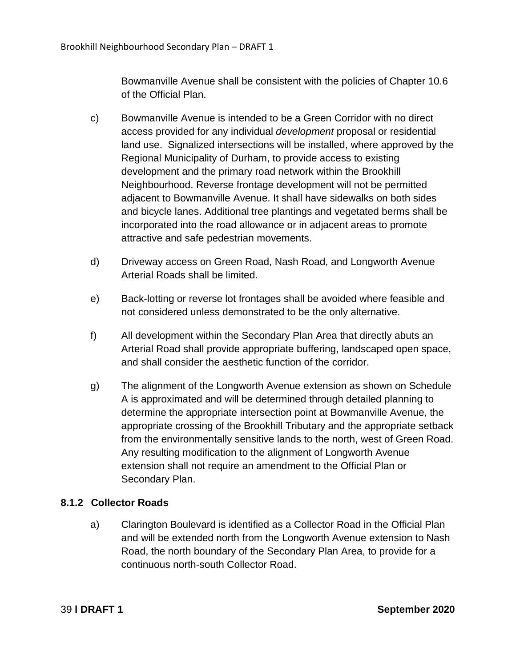Bowmanville Avenue shall be consistent with the policies of Chapter 10.6 of the Official Plan.

- c) Bowmanville Avenue is intended to be a Green Corridor with no direct access provided for any individual *development* proposal or residential land use. Signalized intersections will be installed, where approved by the Regional Municipality of Durham, to provide access to existing development and the primary road network within the Brookhill Neighbourhood. Reverse frontage development will not be permitted adjacent to Bowmanville Avenue. It shall have sidewalks on both sides and bicycle lanes. Additional tree plantings and vegetated berms shall be incorporated into the road allowance or in adjacent areas to promote attractive and safe pedestrian movements.
- d) Driveway access on Green Road, Nash Road, and Longworth Avenue Arterial Roads shall be limited.
- e) Back-lotting or reverse lot frontages shall be avoided where feasible and not considered unless demonstrated to be the only alternative.
- f) All development within the Secondary Plan Area that directly abuts an Arterial Road shall provide appropriate buffering, landscaped open space, and shall consider the aesthetic function of the corridor.
- g) The alignment of the Longworth Avenue extension as shown on Schedule A is approximated and will be determined through detailed planning to determine the appropriate intersection point at Bowmanville Avenue, the appropriate crossing of the Brookhill Tributary and the appropriate setback from the environmentally sensitive lands to the north, west of Green Road. Any resulting modification to the alignment of Longworth Avenue extension shall not require an amendment to the Official Plan or Secondary Plan.

# **8.1.2 Collector Roads**

a) Clarington Boulevard is identified as a Collector Road in the Official Plan and will be extended north from the Longworth Avenue extension to Nash Road, the north boundary of the Secondary Plan Area, to provide for a continuous north-south Collector Road.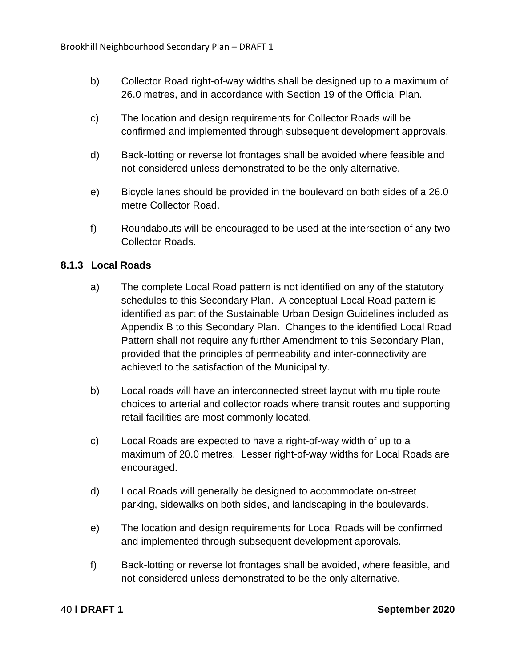- b) Collector Road right-of-way widths shall be designed up to a maximum of 26.0 metres, and in accordance with Section 19 of the Official Plan.
- c) The location and design requirements for Collector Roads will be confirmed and implemented through subsequent development approvals.
- d) Back-lotting or reverse lot frontages shall be avoided where feasible and not considered unless demonstrated to be the only alternative.
- e) Bicycle lanes should be provided in the boulevard on both sides of a 26.0 metre Collector Road.
- f) Roundabouts will be encouraged to be used at the intersection of any two Collector Roads.

# **8.1.3 Local Roads**

- a) The complete Local Road pattern is not identified on any of the statutory schedules to this Secondary Plan. A conceptual Local Road pattern is identified as part of the Sustainable Urban Design Guidelines included as Appendix B to this Secondary Plan. Changes to the identified Local Road Pattern shall not require any further Amendment to this Secondary Plan, provided that the principles of permeability and inter-connectivity are achieved to the satisfaction of the Municipality.
- b) Local roads will have an interconnected street layout with multiple route choices to arterial and collector roads where transit routes and supporting retail facilities are most commonly located.
- c) Local Roads are expected to have a right-of-way width of up to a maximum of 20.0 metres. Lesser right-of-way widths for Local Roads are encouraged.
- d) Local Roads will generally be designed to accommodate on-street parking, sidewalks on both sides, and landscaping in the boulevards.
- e) The location and design requirements for Local Roads will be confirmed and implemented through subsequent development approvals.
- f) Back-lotting or reverse lot frontages shall be avoided, where feasible, and not considered unless demonstrated to be the only alternative.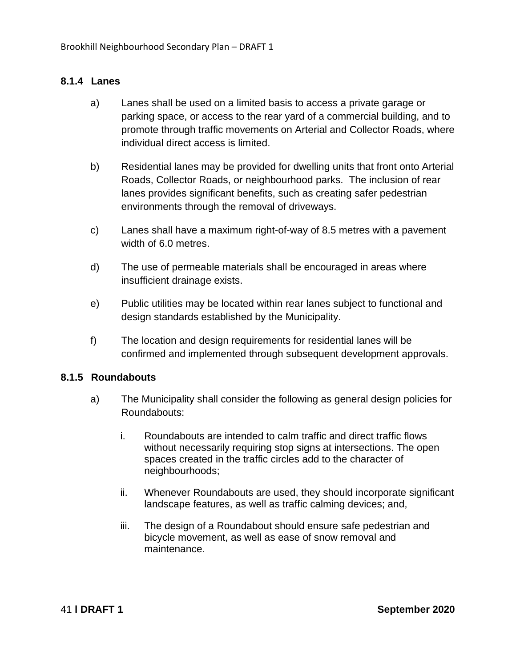# **8.1.4 Lanes**

- a) Lanes shall be used on a limited basis to access a private garage or parking space, or access to the rear yard of a commercial building, and to promote through traffic movements on Arterial and Collector Roads, where individual direct access is limited.
- b) Residential lanes may be provided for dwelling units that front onto Arterial Roads, Collector Roads, or neighbourhood parks. The inclusion of rear lanes provides significant benefits, such as creating safer pedestrian environments through the removal of driveways.
- c) Lanes shall have a maximum right-of-way of 8.5 metres with a pavement width of 6.0 metres.
- d) The use of permeable materials shall be encouraged in areas where insufficient drainage exists.
- e) Public utilities may be located within rear lanes subject to functional and design standards established by the Municipality.
- f) The location and design requirements for residential lanes will be confirmed and implemented through subsequent development approvals.

### **8.1.5 Roundabouts**

- a) The Municipality shall consider the following as general design policies for Roundabouts:
	- i. Roundabouts are intended to calm traffic and direct traffic flows without necessarily requiring stop signs at intersections. The open spaces created in the traffic circles add to the character of neighbourhoods;
	- ii. Whenever Roundabouts are used, they should incorporate significant landscape features, as well as traffic calming devices; and,
	- iii. The design of a Roundabout should ensure safe pedestrian and bicycle movement, as well as ease of snow removal and maintenance.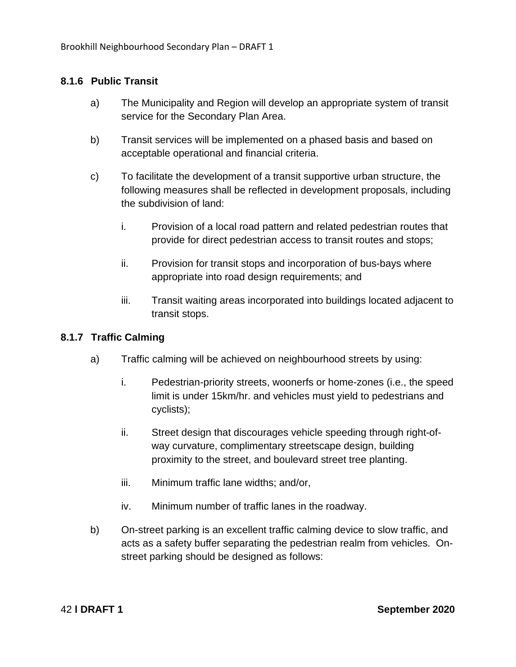# **8.1.6 Public Transit**

- a) The Municipality and Region will develop an appropriate system of transit service for the Secondary Plan Area.
- b) Transit services will be implemented on a phased basis and based on acceptable operational and financial criteria.
- c) To facilitate the development of a transit supportive urban structure, the following measures shall be reflected in development proposals, including the subdivision of land:
	- i. Provision of a local road pattern and related pedestrian routes that provide for direct pedestrian access to transit routes and stops;
	- ii. Provision for transit stops and incorporation of bus-bays where appropriate into road design requirements; and
	- iii. Transit waiting areas incorporated into buildings located adjacent to transit stops.

# **8.1.7 Traffic Calming**

- a) Traffic calming will be achieved on neighbourhood streets by using:
	- i. Pedestrian-priority streets, woonerfs or home-zones (i.e., the speed limit is under 15km/hr. and vehicles must yield to pedestrians and cyclists);
	- ii. Street design that discourages vehicle speeding through right-ofway curvature, complimentary streetscape design, building proximity to the street, and boulevard street tree planting.
	- iii. Minimum traffic lane widths; and/or,
	- iv. Minimum number of traffic lanes in the roadway.
- b) On-street parking is an excellent traffic calming device to slow traffic, and acts as a safety buffer separating the pedestrian realm from vehicles. Onstreet parking should be designed as follows: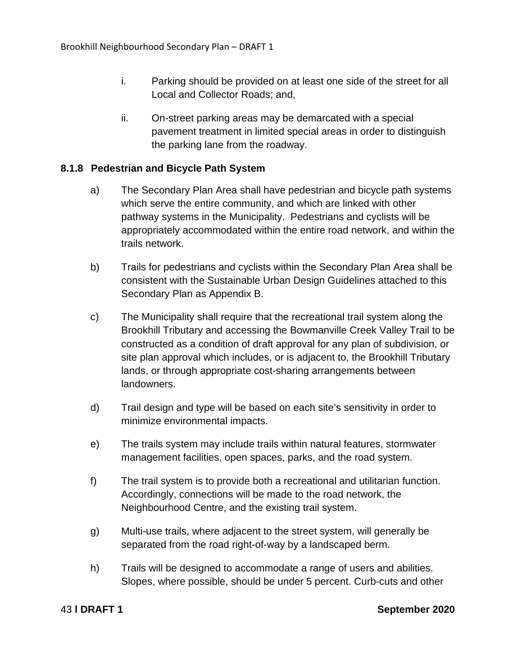- i. Parking should be provided on at least one side of the street for all Local and Collector Roads; and,
- ii. On-street parking areas may be demarcated with a special pavement treatment in limited special areas in order to distinguish the parking lane from the roadway.

## **8.1.8 Pedestrian and Bicycle Path System**

- a) The Secondary Plan Area shall have pedestrian and bicycle path systems which serve the entire community, and which are linked with other pathway systems in the Municipality. Pedestrians and cyclists will be appropriately accommodated within the entire road network, and within the trails network.
- b) Trails for pedestrians and cyclists within the Secondary Plan Area shall be consistent with the Sustainable Urban Design Guidelines attached to this Secondary Plan as Appendix B.
- c) The Municipality shall require that the recreational trail system along the Brookhill Tributary and accessing the Bowmanville Creek Valley Trail to be constructed as a condition of draft approval for any plan of subdivision, or site plan approval which includes, or is adjacent to, the Brookhill Tributary lands, or through appropriate cost-sharing arrangements between landowners.
- d) Trail design and type will be based on each site's sensitivity in order to minimize environmental impacts.
- e) The trails system may include trails within natural features, stormwater management facilities, open spaces, parks, and the road system.
- f) The trail system is to provide both a recreational and utilitarian function. Accordingly, connections will be made to the road network, the Neighbourhood Centre, and the existing trail system.
- g) Multi-use trails, where adjacent to the street system, will generally be separated from the road right-of-way by a landscaped berm.
- h) Trails will be designed to accommodate a range of users and abilities. Slopes, where possible, should be under 5 percent. Curb-cuts and other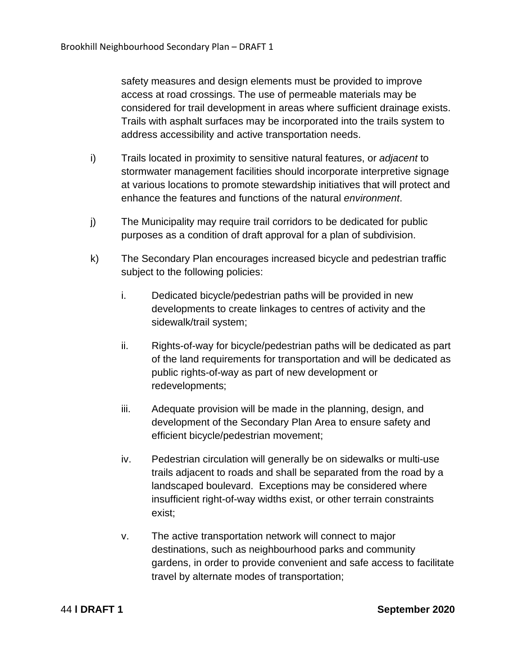safety measures and design elements must be provided to improve access at road crossings. The use of permeable materials may be considered for trail development in areas where sufficient drainage exists. Trails with asphalt surfaces may be incorporated into the trails system to address accessibility and active transportation needs.

- i) Trails located in proximity to sensitive natural features, or *adjacent* to stormwater management facilities should incorporate interpretive signage at various locations to promote stewardship initiatives that will protect and enhance the features and functions of the natural *environment*.
- j) The Municipality may require trail corridors to be dedicated for public purposes as a condition of draft approval for a plan of subdivision.
- k) The Secondary Plan encourages increased bicycle and pedestrian traffic subject to the following policies:
	- i. Dedicated bicycle/pedestrian paths will be provided in new developments to create linkages to centres of activity and the sidewalk/trail system;
	- ii. Rights-of-way for bicycle/pedestrian paths will be dedicated as part of the land requirements for transportation and will be dedicated as public rights-of-way as part of new development or redevelopments;
	- iii. Adequate provision will be made in the planning, design, and development of the Secondary Plan Area to ensure safety and efficient bicycle/pedestrian movement;
	- iv. Pedestrian circulation will generally be on sidewalks or multi-use trails adjacent to roads and shall be separated from the road by a landscaped boulevard. Exceptions may be considered where insufficient right-of-way widths exist, or other terrain constraints exist;
	- v. The active transportation network will connect to major destinations, such as neighbourhood parks and community gardens, in order to provide convenient and safe access to facilitate travel by alternate modes of transportation;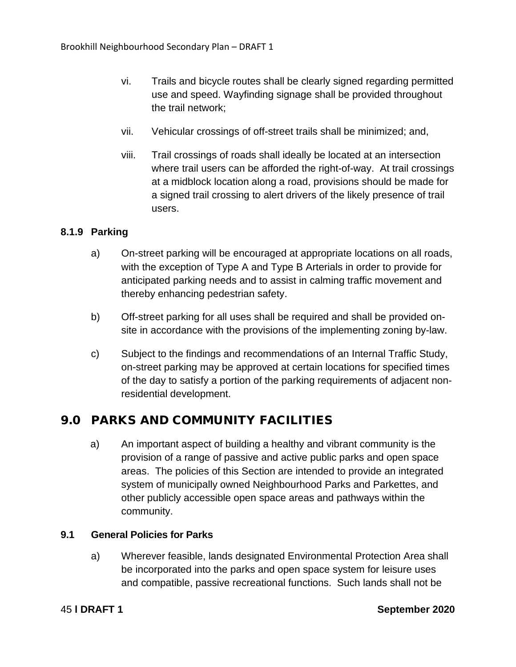- vi. Trails and bicycle routes shall be clearly signed regarding permitted use and speed. Wayfinding signage shall be provided throughout the trail network;
- vii. Vehicular crossings of off-street trails shall be minimized; and,
- viii. Trail crossings of roads shall ideally be located at an intersection where trail users can be afforded the right-of-way. At trail crossings at a midblock location along a road, provisions should be made for a signed trail crossing to alert drivers of the likely presence of trail users.

# **8.1.9 Parking**

- a) On-street parking will be encouraged at appropriate locations on all roads, with the exception of Type A and Type B Arterials in order to provide for anticipated parking needs and to assist in calming traffic movement and thereby enhancing pedestrian safety.
- b) Off-street parking for all uses shall be required and shall be provided onsite in accordance with the provisions of the implementing zoning by-law.
- c) Subject to the findings and recommendations of an Internal Traffic Study, on-street parking may be approved at certain locations for specified times of the day to satisfy a portion of the parking requirements of adjacent nonresidential development.

# 9.0 PARKS AND COMMUNITY FACILITIES

a) An important aspect of building a healthy and vibrant community is the provision of a range of passive and active public parks and open space areas. The policies of this Section are intended to provide an integrated system of municipally owned Neighbourhood Parks and Parkettes, and other publicly accessible open space areas and pathways within the community.

# **9.1 General Policies for Parks**

a) Wherever feasible, lands designated Environmental Protection Area shall be incorporated into the parks and open space system for leisure uses and compatible, passive recreational functions. Such lands shall not be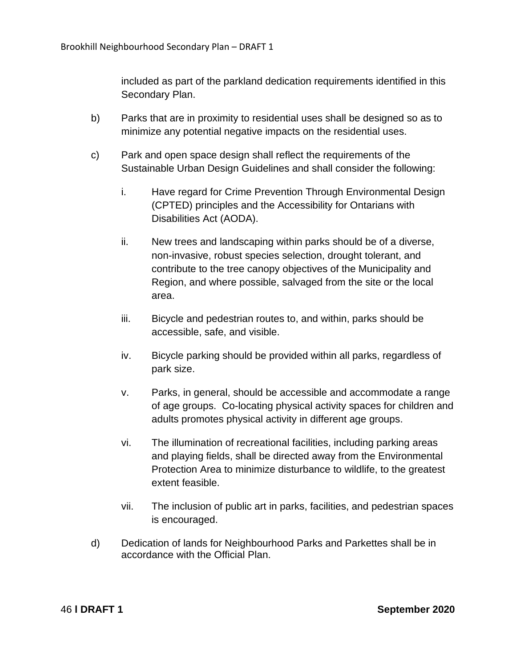included as part of the parkland dedication requirements identified in this Secondary Plan.

- b) Parks that are in proximity to residential uses shall be designed so as to minimize any potential negative impacts on the residential uses.
- c) Park and open space design shall reflect the requirements of the Sustainable Urban Design Guidelines and shall consider the following:
	- i. Have regard for Crime Prevention Through Environmental Design (CPTED) principles and the Accessibility for Ontarians with Disabilities Act (AODA).
	- ii. New trees and landscaping within parks should be of a diverse, non-invasive, robust species selection, drought tolerant, and contribute to the tree canopy objectives of the Municipality and Region, and where possible, salvaged from the site or the local area.
	- iii. Bicycle and pedestrian routes to, and within, parks should be accessible, safe, and visible.
	- iv. Bicycle parking should be provided within all parks, regardless of park size.
	- v. Parks, in general, should be accessible and accommodate a range of age groups. Co-locating physical activity spaces for children and adults promotes physical activity in different age groups.
	- vi. The illumination of recreational facilities, including parking areas and playing fields, shall be directed away from the Environmental Protection Area to minimize disturbance to wildlife, to the greatest extent feasible.
	- vii. The inclusion of public art in parks, facilities, and pedestrian spaces is encouraged.
- d) Dedication of lands for Neighbourhood Parks and Parkettes shall be in accordance with the Official Plan.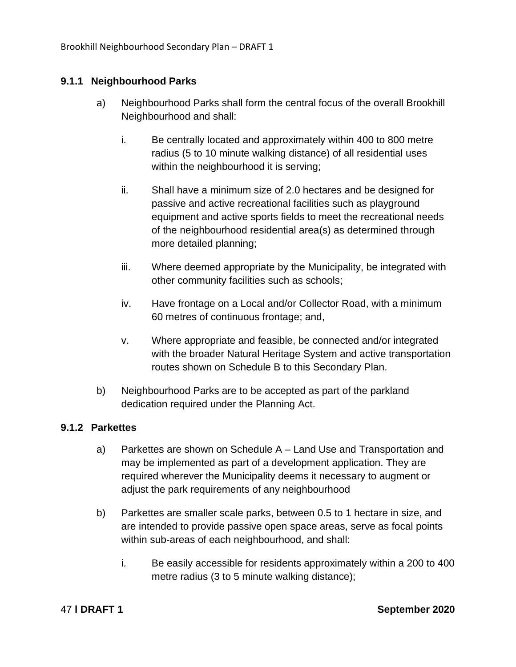# **9.1.1 Neighbourhood Parks**

- a) Neighbourhood Parks shall form the central focus of the overall Brookhill Neighbourhood and shall:
	- i. Be centrally located and approximately within 400 to 800 metre radius (5 to 10 minute walking distance) of all residential uses within the neighbourhood it is serving;
	- ii. Shall have a minimum size of 2.0 hectares and be designed for passive and active recreational facilities such as playground equipment and active sports fields to meet the recreational needs of the neighbourhood residential area(s) as determined through more detailed planning;
	- iii. Where deemed appropriate by the Municipality, be integrated with other community facilities such as schools;
	- iv. Have frontage on a Local and/or Collector Road, with a minimum 60 metres of continuous frontage; and,
	- v. Where appropriate and feasible, be connected and/or integrated with the broader Natural Heritage System and active transportation routes shown on Schedule B to this Secondary Plan.
- b) Neighbourhood Parks are to be accepted as part of the parkland dedication required under the Planning Act.

# **9.1.2 Parkettes**

- a) Parkettes are shown on Schedule A Land Use and Transportation and may be implemented as part of a development application. They are required wherever the Municipality deems it necessary to augment or adjust the park requirements of any neighbourhood
- b) Parkettes are smaller scale parks, between 0.5 to 1 hectare in size, and are intended to provide passive open space areas, serve as focal points within sub-areas of each neighbourhood, and shall:
	- i. Be easily accessible for residents approximately within a 200 to 400 metre radius (3 to 5 minute walking distance);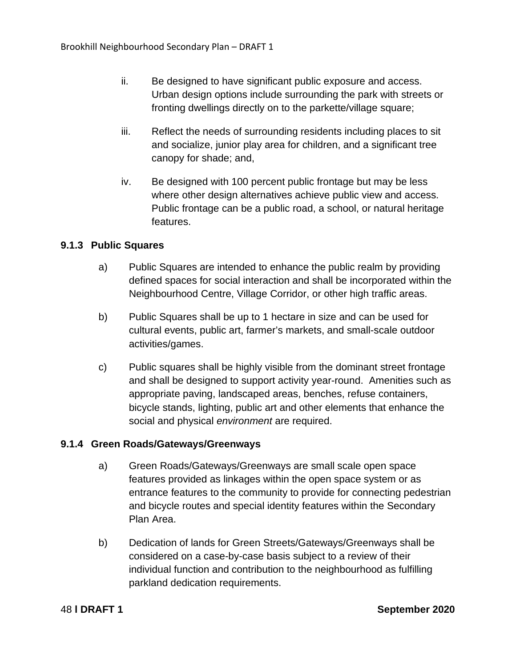- ii. Be designed to have significant public exposure and access. Urban design options include surrounding the park with streets or fronting dwellings directly on to the parkette/village square;
- iii. Reflect the needs of surrounding residents including places to sit and socialize, junior play area for children, and a significant tree canopy for shade; and,
- iv. Be designed with 100 percent public frontage but may be less where other design alternatives achieve public view and access. Public frontage can be a public road, a school, or natural heritage features.

# **9.1.3 Public Squares**

- a) Public Squares are intended to enhance the public realm by providing defined spaces for social interaction and shall be incorporated within the Neighbourhood Centre, Village Corridor, or other high traffic areas.
- b) Public Squares shall be up to 1 hectare in size and can be used for cultural events, public art, farmer's markets, and small-scale outdoor activities/games.
- c) Public squares shall be highly visible from the dominant street frontage and shall be designed to support activity year-round. Amenities such as appropriate paving, landscaped areas, benches, refuse containers, bicycle stands, lighting, public art and other elements that enhance the social and physical *environment* are required.

# **9.1.4 Green Roads/Gateways/Greenways**

- a) Green Roads/Gateways/Greenways are small scale open space features provided as linkages within the open space system or as entrance features to the community to provide for connecting pedestrian and bicycle routes and special identity features within the Secondary Plan Area.
- b) Dedication of lands for Green Streets/Gateways/Greenways shall be considered on a case-by-case basis subject to a review of their individual function and contribution to the neighbourhood as fulfilling parkland dedication requirements.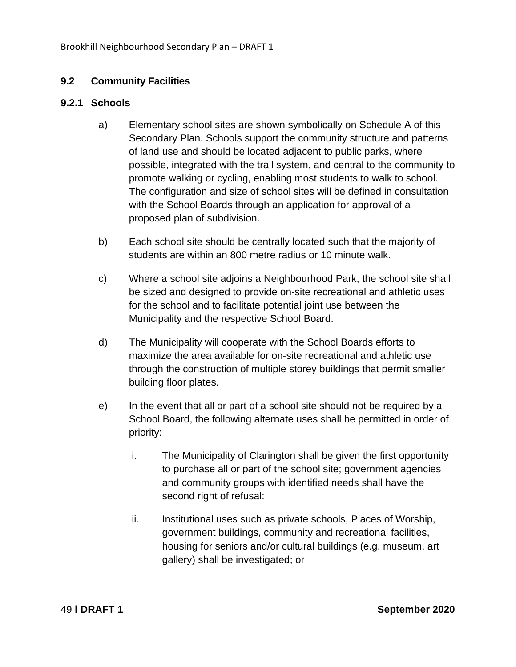# **9.2 Community Facilities**

## **9.2.1 Schools**

- a) Elementary school sites are shown symbolically on Schedule A of this Secondary Plan. Schools support the community structure and patterns of land use and should be located adjacent to public parks, where possible, integrated with the trail system, and central to the community to promote walking or cycling, enabling most students to walk to school. The configuration and size of school sites will be defined in consultation with the School Boards through an application for approval of a proposed plan of subdivision.
- b) Each school site should be centrally located such that the majority of students are within an 800 metre radius or 10 minute walk.
- c) Where a school site adjoins a Neighbourhood Park, the school site shall be sized and designed to provide on-site recreational and athletic uses for the school and to facilitate potential joint use between the Municipality and the respective School Board.
- d) The Municipality will cooperate with the School Boards efforts to maximize the area available for on-site recreational and athletic use through the construction of multiple storey buildings that permit smaller building floor plates.
- e) In the event that all or part of a school site should not be required by a School Board, the following alternate uses shall be permitted in order of priority:
	- i. The Municipality of Clarington shall be given the first opportunity to purchase all or part of the school site; government agencies and community groups with identified needs shall have the second right of refusal:
	- ii. Institutional uses such as private schools, Places of Worship, government buildings, community and recreational facilities, housing for seniors and/or cultural buildings (e.g. museum, art gallery) shall be investigated; or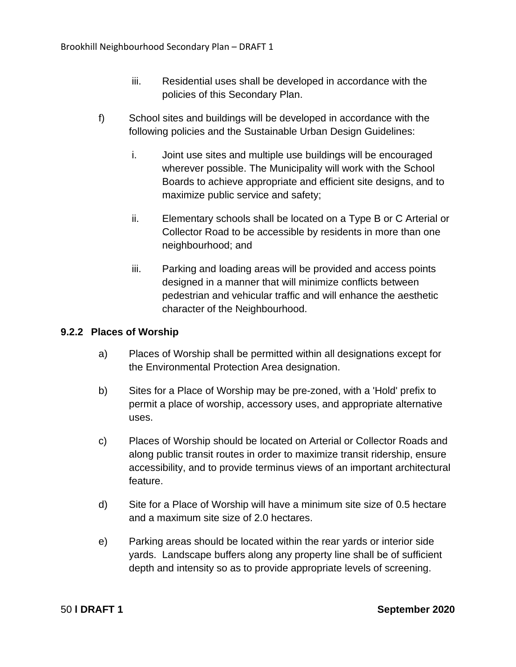- iii. Residential uses shall be developed in accordance with the policies of this Secondary Plan.
- f) School sites and buildings will be developed in accordance with the following policies and the Sustainable Urban Design Guidelines:
	- i. Joint use sites and multiple use buildings will be encouraged wherever possible. The Municipality will work with the School Boards to achieve appropriate and efficient site designs, and to maximize public service and safety;
	- ii. Elementary schools shall be located on a Type B or C Arterial or Collector Road to be accessible by residents in more than one neighbourhood; and
	- iii. Parking and loading areas will be provided and access points designed in a manner that will minimize conflicts between pedestrian and vehicular traffic and will enhance the aesthetic character of the Neighbourhood.

# **9.2.2 Places of Worship**

- a) Places of Worship shall be permitted within all designations except for the Environmental Protection Area designation.
- b) Sites for a Place of Worship may be pre-zoned, with a 'Hold' prefix to permit a place of worship, accessory uses, and appropriate alternative uses.
- c) Places of Worship should be located on Arterial or Collector Roads and along public transit routes in order to maximize transit ridership, ensure accessibility, and to provide terminus views of an important architectural feature.
- d) Site for a Place of Worship will have a minimum site size of 0.5 hectare and a maximum site size of 2.0 hectares.
- e) Parking areas should be located within the rear yards or interior side yards. Landscape buffers along any property line shall be of sufficient depth and intensity so as to provide appropriate levels of screening.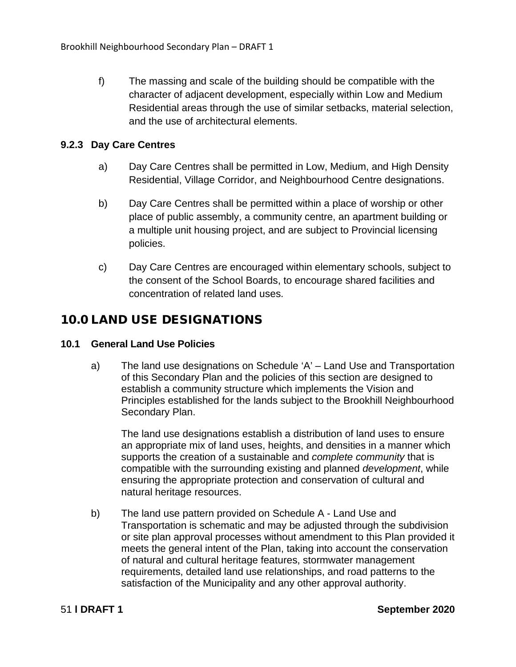f) The massing and scale of the building should be compatible with the character of adjacent development, especially within Low and Medium Residential areas through the use of similar setbacks, material selection, and the use of architectural elements.

# **9.2.3 Day Care Centres**

- a) Day Care Centres shall be permitted in Low, Medium, and High Density Residential, Village Corridor, and Neighbourhood Centre designations.
- b) Day Care Centres shall be permitted within a place of worship or other place of public assembly, a community centre, an apartment building or a multiple unit housing project, and are subject to Provincial licensing policies.
- c) Day Care Centres are encouraged within elementary schools, subject to the consent of the School Boards, to encourage shared facilities and concentration of related land uses.

# 10.0 LAND USE DESIGNATIONS

# **10.1 General Land Use Policies**

a) The land use designations on Schedule 'A' – Land Use and Transportation of this Secondary Plan and the policies of this section are designed to establish a community structure which implements the Vision and Principles established for the lands subject to the Brookhill Neighbourhood Secondary Plan.

The land use designations establish a distribution of land uses to ensure an appropriate mix of land uses, heights, and densities in a manner which supports the creation of a sustainable and *complete community* that is compatible with the surrounding existing and planned *development*, while ensuring the appropriate protection and conservation of cultural and natural heritage resources.

b) The land use pattern provided on Schedule A - Land Use and Transportation is schematic and may be adjusted through the subdivision or site plan approval processes without amendment to this Plan provided it meets the general intent of the Plan, taking into account the conservation of natural and cultural heritage features, stormwater management requirements, detailed land use relationships, and road patterns to the satisfaction of the Municipality and any other approval authority.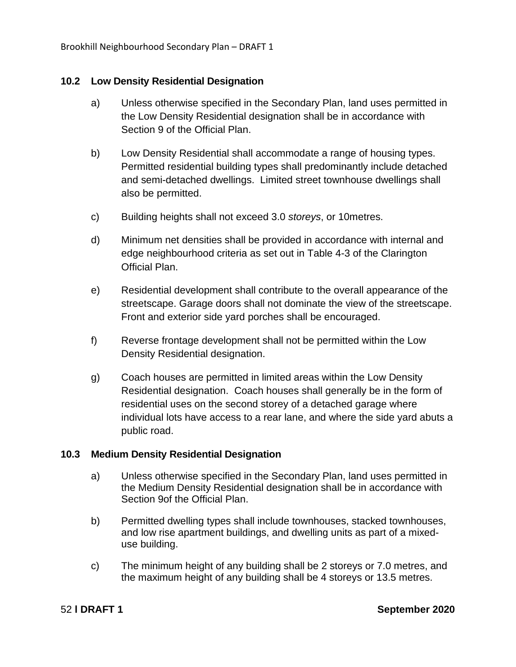Brookhill Neighbourhood Secondary Plan – DRAFT 1

## **10.2 Low Density Residential Designation**

- a) Unless otherwise specified in the Secondary Plan, land uses permitted in the Low Density Residential designation shall be in accordance with Section 9 of the Official Plan.
- b) Low Density Residential shall accommodate a range of housing types. Permitted residential building types shall predominantly include detached and semi-detached dwellings. Limited street townhouse dwellings shall also be permitted.
- c) Building heights shall not exceed 3.0 *storeys*, or 10metres.
- d) Minimum net densities shall be provided in accordance with internal and edge neighbourhood criteria as set out in Table 4-3 of the Clarington Official Plan.
- e) Residential development shall contribute to the overall appearance of the streetscape. Garage doors shall not dominate the view of the streetscape. Front and exterior side yard porches shall be encouraged.
- f) Reverse frontage development shall not be permitted within the Low Density Residential designation.
- g) Coach houses are permitted in limited areas within the Low Density Residential designation. Coach houses shall generally be in the form of residential uses on the second storey of a detached garage where individual lots have access to a rear lane, and where the side yard abuts a public road.

### **10.3 Medium Density Residential Designation**

- a) Unless otherwise specified in the Secondary Plan, land uses permitted in the Medium Density Residential designation shall be in accordance with Section 9of the Official Plan.
- b) Permitted dwelling types shall include townhouses, stacked townhouses, and low rise apartment buildings, and dwelling units as part of a mixeduse building.
- c) The minimum height of any building shall be 2 storeys or 7.0 metres, and the maximum height of any building shall be 4 storeys or 13.5 metres.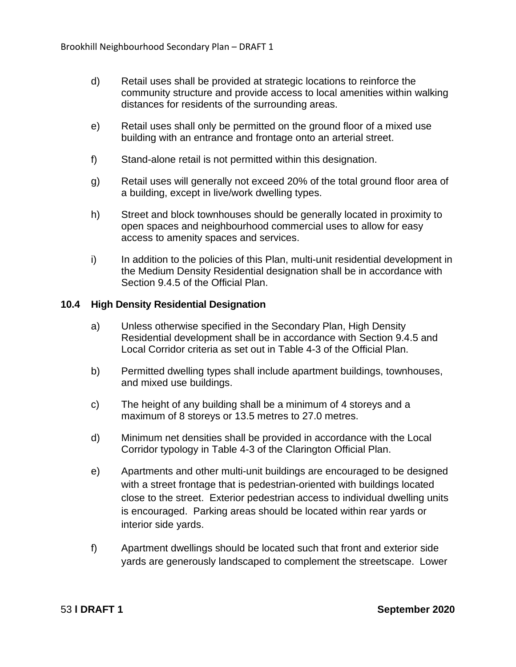- d) Retail uses shall be provided at strategic locations to reinforce the community structure and provide access to local amenities within walking distances for residents of the surrounding areas.
- e) Retail uses shall only be permitted on the ground floor of a mixed use building with an entrance and frontage onto an arterial street.
- f) Stand-alone retail is not permitted within this designation.
- g) Retail uses will generally not exceed 20% of the total ground floor area of a building, except in live/work dwelling types.
- h) Street and block townhouses should be generally located in proximity to open spaces and neighbourhood commercial uses to allow for easy access to amenity spaces and services.
- i) In addition to the policies of this Plan, multi-unit residential development in the Medium Density Residential designation shall be in accordance with Section 9.4.5 of the Official Plan.

## **10.4 High Density Residential Designation**

- a) Unless otherwise specified in the Secondary Plan, High Density Residential development shall be in accordance with Section 9.4.5 and Local Corridor criteria as set out in Table 4-3 of the Official Plan.
- b) Permitted dwelling types shall include apartment buildings, townhouses, and mixed use buildings.
- c) The height of any building shall be a minimum of 4 storeys and a maximum of 8 storeys or 13.5 metres to 27.0 metres.
- d) Minimum net densities shall be provided in accordance with the Local Corridor typology in Table 4-3 of the Clarington Official Plan.
- e) Apartments and other multi-unit buildings are encouraged to be designed with a street frontage that is pedestrian-oriented with buildings located close to the street. Exterior pedestrian access to individual dwelling units is encouraged. Parking areas should be located within rear yards or interior side yards.
- f) Apartment dwellings should be located such that front and exterior side yards are generously landscaped to complement the streetscape. Lower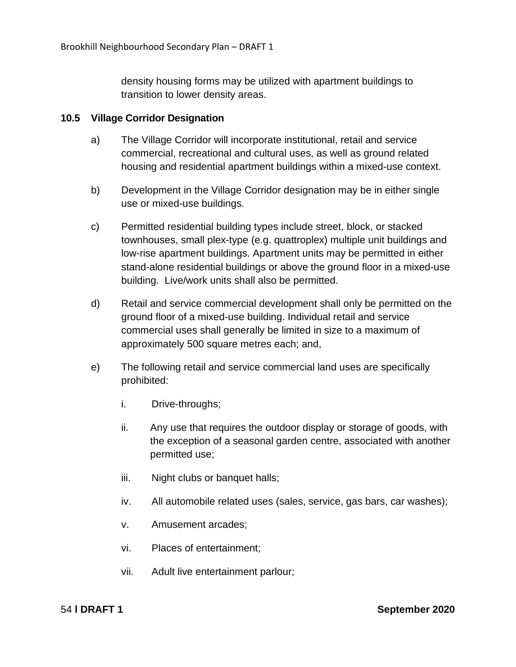density housing forms may be utilized with apartment buildings to transition to lower density areas.

## **10.5 Village Corridor Designation**

- a) The Village Corridor will incorporate institutional, retail and service commercial, recreational and cultural uses, as well as ground related housing and residential apartment buildings within a mixed-use context.
- b) Development in the Village Corridor designation may be in either single use or mixed-use buildings.
- c) Permitted residential building types include street, block, or stacked townhouses, small plex-type (e.g. quattroplex) multiple unit buildings and low-rise apartment buildings. Apartment units may be permitted in either stand-alone residential buildings or above the ground floor in a mixed-use building. Live/work units shall also be permitted.
- d) Retail and service commercial development shall only be permitted on the ground floor of a mixed-use building. Individual retail and service commercial uses shall generally be limited in size to a maximum of approximately 500 square metres each; and,
- e) The following retail and service commercial land uses are specifically prohibited:
	- i. Drive-throughs;
	- ii. Any use that requires the outdoor display or storage of goods, with the exception of a seasonal garden centre, associated with another permitted use;
	- iii. Night clubs or banquet halls;
	- iv. All automobile related uses (sales, service, gas bars, car washes);
	- v. Amusement arcades;
	- vi. Places of entertainment;
	- vii. Adult live entertainment parlour;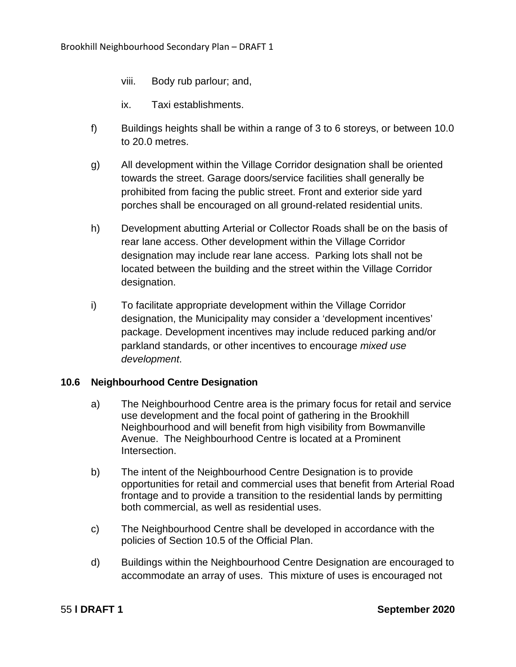- viii. Body rub parlour; and,
- ix. Taxi establishments.
- f) Buildings heights shall be within a range of 3 to 6 storeys, or between 10.0 to 20.0 metres.
- g) All development within the Village Corridor designation shall be oriented towards the street. Garage doors/service facilities shall generally be prohibited from facing the public street. Front and exterior side yard porches shall be encouraged on all ground-related residential units.
- h) Development abutting Arterial or Collector Roads shall be on the basis of rear lane access. Other development within the Village Corridor designation may include rear lane access. Parking lots shall not be located between the building and the street within the Village Corridor designation.
- i) To facilitate appropriate development within the Village Corridor designation, the Municipality may consider a 'development incentives' package. Development incentives may include reduced parking and/or parkland standards, or other incentives to encourage *mixed use development*.

# **10.6 Neighbourhood Centre Designation**

- a) The Neighbourhood Centre area is the primary focus for retail and service use development and the focal point of gathering in the Brookhill Neighbourhood and will benefit from high visibility from Bowmanville Avenue. The Neighbourhood Centre is located at a Prominent Intersection.
- b) The intent of the Neighbourhood Centre Designation is to provide opportunities for retail and commercial uses that benefit from Arterial Road frontage and to provide a transition to the residential lands by permitting both commercial, as well as residential uses.
- c) The Neighbourhood Centre shall be developed in accordance with the policies of Section 10.5 of the Official Plan.
- d) Buildings within the Neighbourhood Centre Designation are encouraged to accommodate an array of uses. This mixture of uses is encouraged not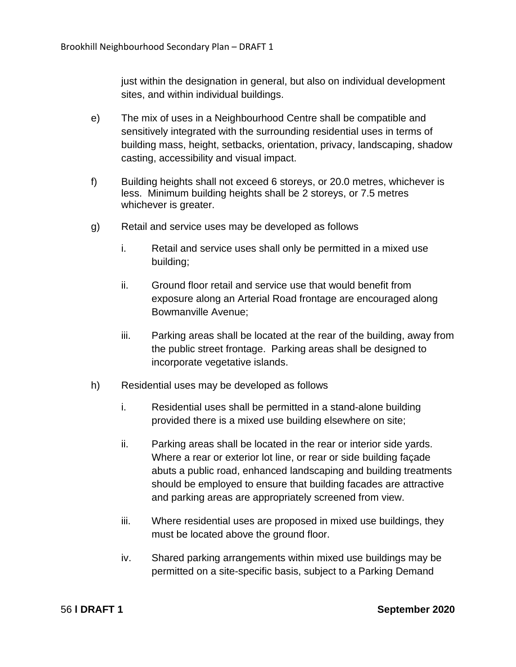just within the designation in general, but also on individual development sites, and within individual buildings.

- e) The mix of uses in a Neighbourhood Centre shall be compatible and sensitively integrated with the surrounding residential uses in terms of building mass, height, setbacks, orientation, privacy, landscaping, shadow casting, accessibility and visual impact.
- f) Building heights shall not exceed 6 storeys, or 20.0 metres, whichever is less. Minimum building heights shall be 2 storeys, or 7.5 metres whichever is greater.
- g) Retail and service uses may be developed as follows
	- i. Retail and service uses shall only be permitted in a mixed use building;
	- ii. Ground floor retail and service use that would benefit from exposure along an Arterial Road frontage are encouraged along Bowmanville Avenue;
	- iii. Parking areas shall be located at the rear of the building, away from the public street frontage. Parking areas shall be designed to incorporate vegetative islands.
- h) Residential uses may be developed as follows
	- i. Residential uses shall be permitted in a stand-alone building provided there is a mixed use building elsewhere on site;
	- ii. Parking areas shall be located in the rear or interior side yards. Where a rear or exterior lot line, or rear or side building façade abuts a public road, enhanced landscaping and building treatments should be employed to ensure that building facades are attractive and parking areas are appropriately screened from view.
	- iii. Where residential uses are proposed in mixed use buildings, they must be located above the ground floor.
	- iv. Shared parking arrangements within mixed use buildings may be permitted on a site-specific basis, subject to a Parking Demand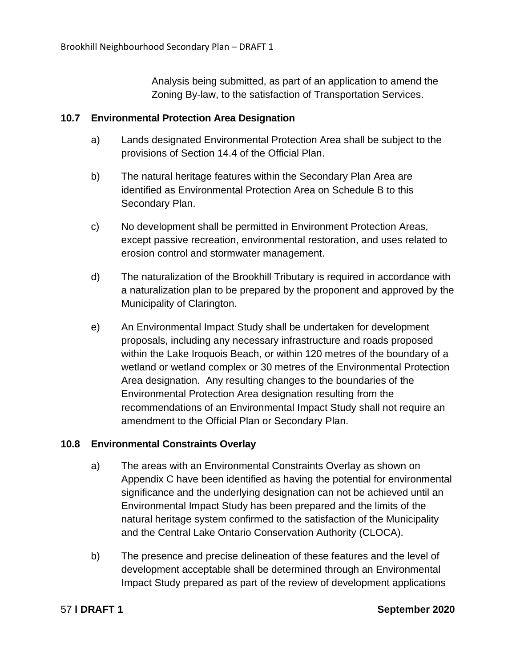Analysis being submitted, as part of an application to amend the Zoning By-law, to the satisfaction of Transportation Services.

# **10.7 Environmental Protection Area Designation**

- a) Lands designated Environmental Protection Area shall be subject to the provisions of Section 14.4 of the Official Plan.
- b) The natural heritage features within the Secondary Plan Area are identified as Environmental Protection Area on Schedule B to this Secondary Plan.
- c) No development shall be permitted in Environment Protection Areas, except passive recreation, environmental restoration, and uses related to erosion control and stormwater management.
- d) The naturalization of the Brookhill Tributary is required in accordance with a naturalization plan to be prepared by the proponent and approved by the Municipality of Clarington.
- e) An Environmental Impact Study shall be undertaken for development proposals, including any necessary infrastructure and roads proposed within the Lake Iroquois Beach, or within 120 metres of the boundary of a wetland or wetland complex or 30 metres of the Environmental Protection Area designation. Any resulting changes to the boundaries of the Environmental Protection Area designation resulting from the recommendations of an Environmental Impact Study shall not require an amendment to the Official Plan or Secondary Plan.

# **10.8 Environmental Constraints Overlay**

- a) The areas with an Environmental Constraints Overlay as shown on Appendix C have been identified as having the potential for environmental significance and the underlying designation can not be achieved until an Environmental Impact Study has been prepared and the limits of the natural heritage system confirmed to the satisfaction of the Municipality and the Central Lake Ontario Conservation Authority (CLOCA).
- b) The presence and precise delineation of these features and the level of development acceptable shall be determined through an Environmental Impact Study prepared as part of the review of development applications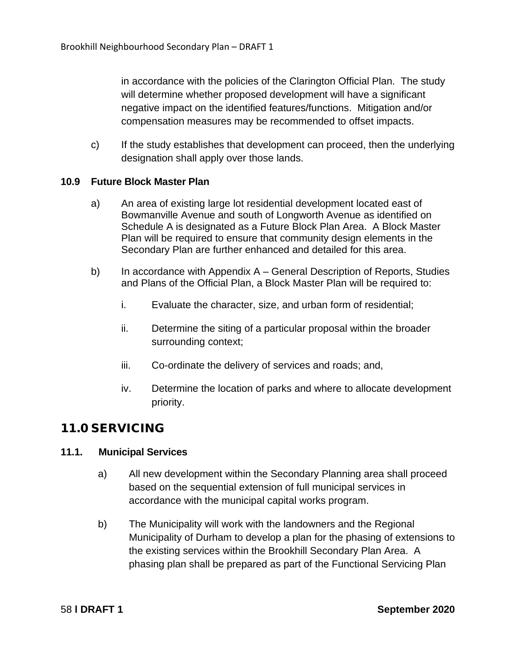in accordance with the policies of the Clarington Official Plan. The study will determine whether proposed development will have a significant negative impact on the identified features/functions. Mitigation and/or compensation measures may be recommended to offset impacts.

c) If the study establishes that development can proceed, then the underlying designation shall apply over those lands.

## **10.9 Future Block Master Plan**

- a) An area of existing large lot residential development located east of Bowmanville Avenue and south of Longworth Avenue as identified on Schedule A is designated as a Future Block Plan Area. A Block Master Plan will be required to ensure that community design elements in the Secondary Plan are further enhanced and detailed for this area.
- b) In accordance with Appendix A General Description of Reports, Studies and Plans of the Official Plan, a Block Master Plan will be required to:
	- i. Evaluate the character, size, and urban form of residential;
	- ii. Determine the siting of a particular proposal within the broader surrounding context;
	- iii. Co-ordinate the delivery of services and roads; and,
	- iv. Determine the location of parks and where to allocate development priority.

# 11.0 SERVICING

# **11.1. Municipal Services**

- a) All new development within the Secondary Planning area shall proceed based on the sequential extension of full municipal services in accordance with the municipal capital works program.
- b) The Municipality will work with the landowners and the Regional Municipality of Durham to develop a plan for the phasing of extensions to the existing services within the Brookhill Secondary Plan Area. A phasing plan shall be prepared as part of the Functional Servicing Plan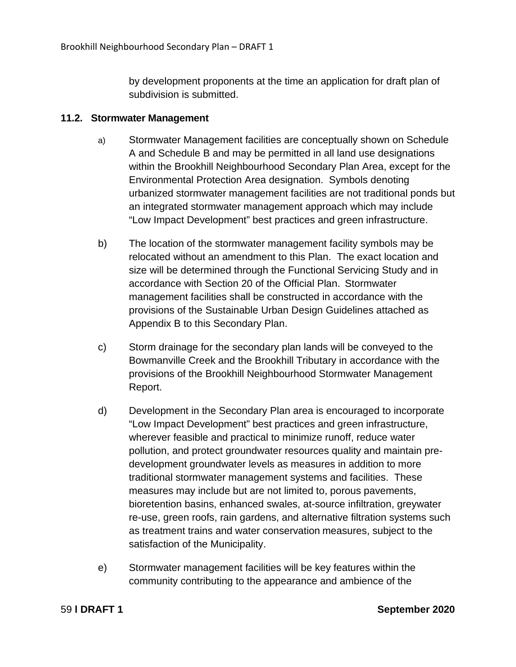by development proponents at the time an application for draft plan of subdivision is submitted.

## **11.2. Stormwater Management**

- a) Stormwater Management facilities are conceptually shown on Schedule A and Schedule B and may be permitted in all land use designations within the Brookhill Neighbourhood Secondary Plan Area, except for the Environmental Protection Area designation. Symbols denoting urbanized stormwater management facilities are not traditional ponds but an integrated stormwater management approach which may include "Low Impact Development" best practices and green infrastructure.
- b) The location of the stormwater management facility symbols may be relocated without an amendment to this Plan. The exact location and size will be determined through the Functional Servicing Study and in accordance with Section 20 of the Official Plan. Stormwater management facilities shall be constructed in accordance with the provisions of the Sustainable Urban Design Guidelines attached as Appendix B to this Secondary Plan.
- c) Storm drainage for the secondary plan lands will be conveyed to the Bowmanville Creek and the Brookhill Tributary in accordance with the provisions of the Brookhill Neighbourhood Stormwater Management Report.
- d) Development in the Secondary Plan area is encouraged to incorporate "Low Impact Development" best practices and green infrastructure, wherever feasible and practical to minimize runoff, reduce water pollution, and protect groundwater resources quality and maintain predevelopment groundwater levels as measures in addition to more traditional stormwater management systems and facilities. These measures may include but are not limited to, porous pavements, bioretention basins, enhanced swales, at-source infiltration, greywater re-use, green roofs, rain gardens, and alternative filtration systems such as treatment trains and water conservation measures, subject to the satisfaction of the Municipality.
- e) Stormwater management facilities will be key features within the community contributing to the appearance and ambience of the

59 **l DRAFT 1 September 2020**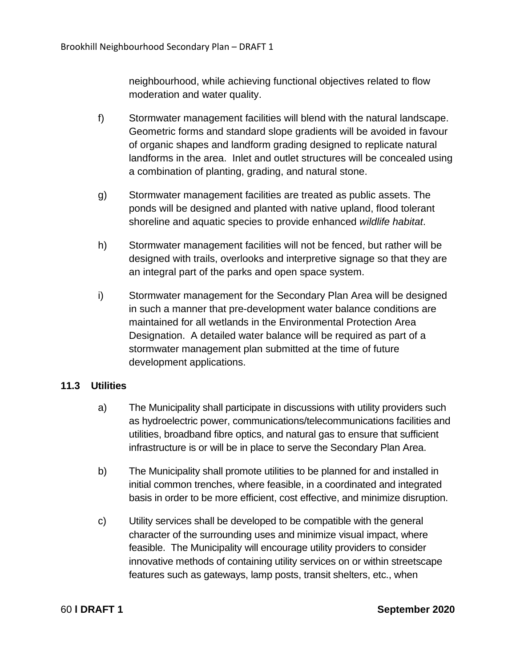neighbourhood, while achieving functional objectives related to flow moderation and water quality.

- f) Stormwater management facilities will blend with the natural landscape. Geometric forms and standard slope gradients will be avoided in favour of organic shapes and landform grading designed to replicate natural landforms in the area. Inlet and outlet structures will be concealed using a combination of planting, grading, and natural stone.
- g) Stormwater management facilities are treated as public assets. The ponds will be designed and planted with native upland, flood tolerant shoreline and aquatic species to provide enhanced *wildlife habitat*.
- h) Stormwater management facilities will not be fenced, but rather will be designed with trails, overlooks and interpretive signage so that they are an integral part of the parks and open space system.
- i) Stormwater management for the Secondary Plan Area will be designed in such a manner that pre-development water balance conditions are maintained for all wetlands in the Environmental Protection Area Designation. A detailed water balance will be required as part of a stormwater management plan submitted at the time of future development applications.

# **11.3 Utilities**

- a) The Municipality shall participate in discussions with utility providers such as hydroelectric power, communications/telecommunications facilities and utilities, broadband fibre optics, and natural gas to ensure that sufficient infrastructure is or will be in place to serve the Secondary Plan Area.
- b) The Municipality shall promote utilities to be planned for and installed in initial common trenches, where feasible, in a coordinated and integrated basis in order to be more efficient, cost effective, and minimize disruption.
- c) Utility services shall be developed to be compatible with the general character of the surrounding uses and minimize visual impact, where feasible. The Municipality will encourage utility providers to consider innovative methods of containing utility services on or within streetscape features such as gateways, lamp posts, transit shelters, etc., when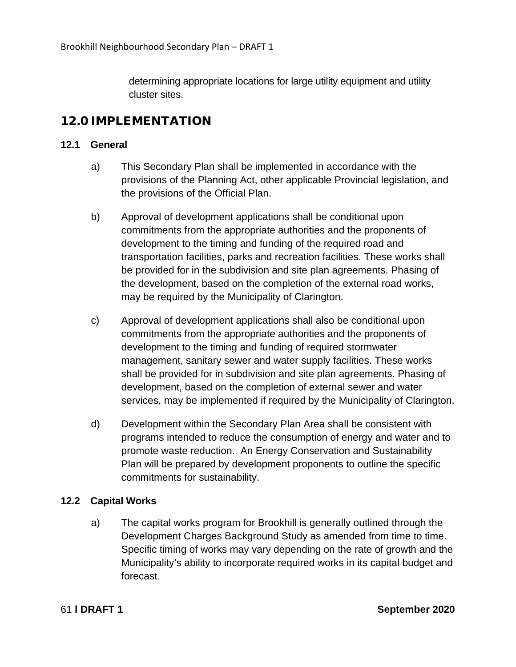determining appropriate locations for large utility equipment and utility cluster sites.

# 12.0 IMPLEMENTATION

## **12.1 General**

- a) This Secondary Plan shall be implemented in accordance with the provisions of the Planning Act, other applicable Provincial legislation, and the provisions of the Official Plan.
- b) Approval of development applications shall be conditional upon commitments from the appropriate authorities and the proponents of development to the timing and funding of the required road and transportation facilities, parks and recreation facilities. These works shall be provided for in the subdivision and site plan agreements. Phasing of the development, based on the completion of the external road works, may be required by the Municipality of Clarington.
- c) Approval of development applications shall also be conditional upon commitments from the appropriate authorities and the proponents of development to the timing and funding of required stormwater management, sanitary sewer and water supply facilities. These works shall be provided for in subdivision and site plan agreements. Phasing of development, based on the completion of external sewer and water services, may be implemented if required by the Municipality of Clarington.
- d) Development within the Secondary Plan Area shall be consistent with programs intended to reduce the consumption of energy and water and to promote waste reduction. An Energy Conservation and Sustainability Plan will be prepared by development proponents to outline the specific commitments for sustainability.

# **12.2 Capital Works**

a) The capital works program for Brookhill is generally outlined through the Development Charges Background Study as amended from time to time. Specific timing of works may vary depending on the rate of growth and the Municipality's ability to incorporate required works in its capital budget and forecast.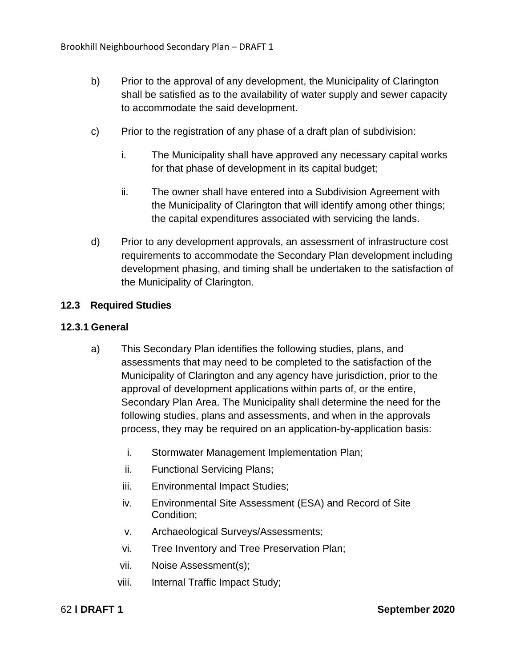- b) Prior to the approval of any development, the Municipality of Clarington shall be satisfied as to the availability of water supply and sewer capacity to accommodate the said development.
- c) Prior to the registration of any phase of a draft plan of subdivision:
	- i. The Municipality shall have approved any necessary capital works for that phase of development in its capital budget;
	- ii. The owner shall have entered into a Subdivision Agreement with the Municipality of Clarington that will identify among other things; the capital expenditures associated with servicing the lands.
- d) Prior to any development approvals, an assessment of infrastructure cost requirements to accommodate the Secondary Plan development including development phasing, and timing shall be undertaken to the satisfaction of the Municipality of Clarington.

## **12.3 Required Studies**

### **12.3.1 General**

- a) This Secondary Plan identifies the following studies, plans, and assessments that may need to be completed to the satisfaction of the Municipality of Clarington and any agency have jurisdiction, prior to the approval of development applications within parts of, or the entire, Secondary Plan Area. The Municipality shall determine the need for the following studies, plans and assessments, and when in the approvals process, they may be required on an application-by-application basis:
	- i. Stormwater Management Implementation Plan;
	- ii. Functional Servicing Plans;
	- iii. Environmental Impact Studies;
	- iv. Environmental Site Assessment (ESA) and Record of Site Condition;
	- v. Archaeological Surveys/Assessments;
	- vi. Tree Inventory and Tree Preservation Plan;
	- vii. Noise Assessment(s);
	- viii. Internal Traffic Impact Study;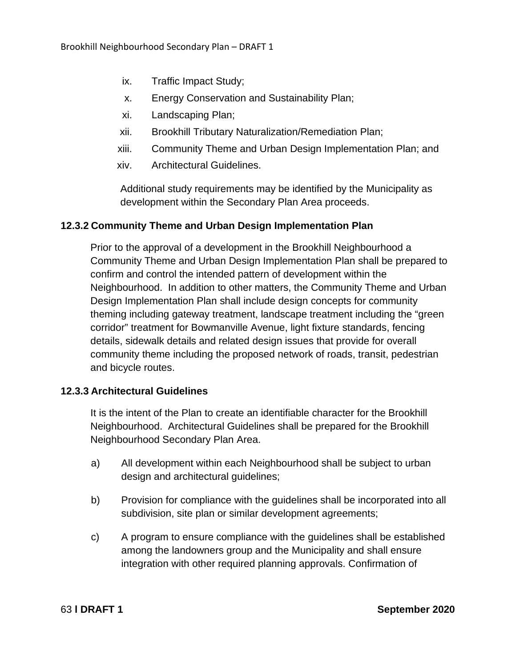- ix. Traffic Impact Study;
- x. Energy Conservation and Sustainability Plan;
- xi. Landscaping Plan;
- xii. Brookhill Tributary Naturalization/Remediation Plan;
- xiii. Community Theme and Urban Design Implementation Plan; and
- xiv. Architectural Guidelines.

Additional study requirements may be identified by the Municipality as development within the Secondary Plan Area proceeds.

## **12.3.2 Community Theme and Urban Design Implementation Plan**

Prior to the approval of a development in the Brookhill Neighbourhood a Community Theme and Urban Design Implementation Plan shall be prepared to confirm and control the intended pattern of development within the Neighbourhood. In addition to other matters, the Community Theme and Urban Design Implementation Plan shall include design concepts for community theming including gateway treatment, landscape treatment including the "green corridor" treatment for Bowmanville Avenue, light fixture standards, fencing details, sidewalk details and related design issues that provide for overall community theme including the proposed network of roads, transit, pedestrian and bicycle routes.

### **12.3.3 Architectural Guidelines**

It is the intent of the Plan to create an identifiable character for the Brookhill Neighbourhood. Architectural Guidelines shall be prepared for the Brookhill Neighbourhood Secondary Plan Area.

- a) All development within each Neighbourhood shall be subject to urban design and architectural guidelines;
- b) Provision for compliance with the guidelines shall be incorporated into all subdivision, site plan or similar development agreements;
- c) A program to ensure compliance with the guidelines shall be established among the landowners group and the Municipality and shall ensure integration with other required planning approvals. Confirmation of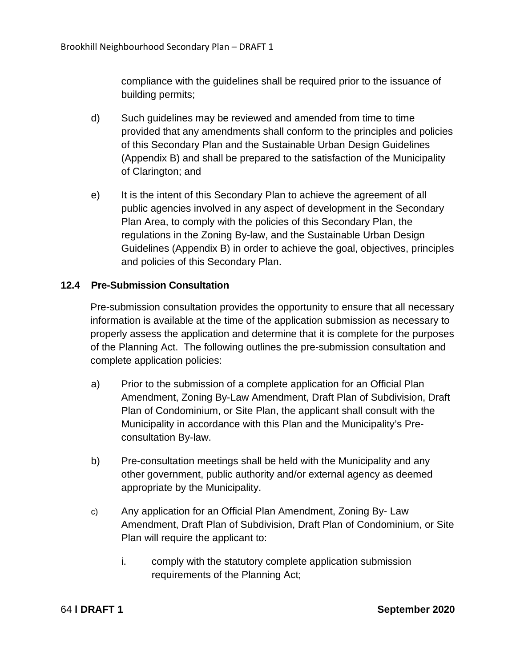compliance with the guidelines shall be required prior to the issuance of building permits;

- d) Such guidelines may be reviewed and amended from time to time provided that any amendments shall conform to the principles and policies of this Secondary Plan and the Sustainable Urban Design Guidelines (Appendix B) and shall be prepared to the satisfaction of the Municipality of Clarington; and
- e) It is the intent of this Secondary Plan to achieve the agreement of all public agencies involved in any aspect of development in the Secondary Plan Area, to comply with the policies of this Secondary Plan, the regulations in the Zoning By-law, and the Sustainable Urban Design Guidelines (Appendix B) in order to achieve the goal, objectives, principles and policies of this Secondary Plan.

# **12.4 Pre-Submission Consultation**

Pre-submission consultation provides the opportunity to ensure that all necessary information is available at the time of the application submission as necessary to properly assess the application and determine that it is complete for the purposes of the Planning Act. The following outlines the pre-submission consultation and complete application policies:

- a) Prior to the submission of a complete application for an Official Plan Amendment, Zoning By-Law Amendment, Draft Plan of Subdivision, Draft Plan of Condominium, or Site Plan, the applicant shall consult with the Municipality in accordance with this Plan and the Municipality's Preconsultation By-law.
- b) Pre-consultation meetings shall be held with the Municipality and any other government, public authority and/or external agency as deemed appropriate by the Municipality.
- c) Any application for an Official Plan Amendment, Zoning By- Law Amendment, Draft Plan of Subdivision, Draft Plan of Condominium, or Site Plan will require the applicant to:
	- i. comply with the statutory complete application submission requirements of the Planning Act;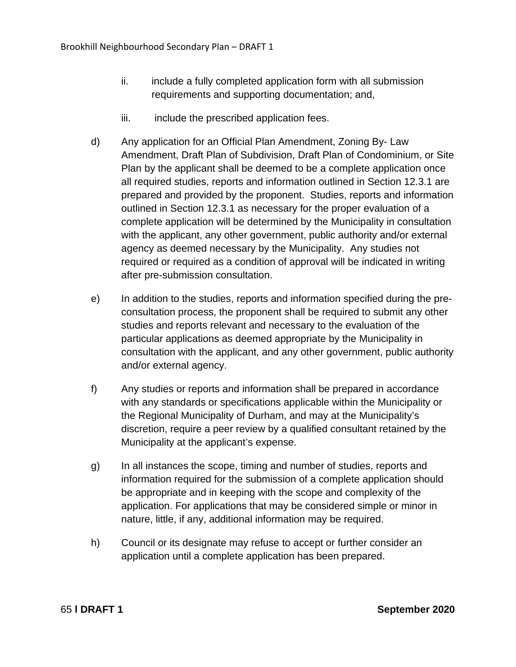- ii. include a fully completed application form with all submission requirements and supporting documentation; and,
- iii. include the prescribed application fees.
- d) Any application for an Official Plan Amendment, Zoning By- Law Amendment, Draft Plan of Subdivision, Draft Plan of Condominium, or Site Plan by the applicant shall be deemed to be a complete application once all required studies, reports and information outlined in Section 12.3.1 are prepared and provided by the proponent. Studies, reports and information outlined in Section 12.3.1 as necessary for the proper evaluation of a complete application will be determined by the Municipality in consultation with the applicant, any other government, public authority and/or external agency as deemed necessary by the Municipality. Any studies not required or required as a condition of approval will be indicated in writing after pre-submission consultation.
- e) In addition to the studies, reports and information specified during the preconsultation process, the proponent shall be required to submit any other studies and reports relevant and necessary to the evaluation of the particular applications as deemed appropriate by the Municipality in consultation with the applicant, and any other government, public authority and/or external agency.
- f) Any studies or reports and information shall be prepared in accordance with any standards or specifications applicable within the Municipality or the Regional Municipality of Durham, and may at the Municipality's discretion, require a peer review by a qualified consultant retained by the Municipality at the applicant's expense.
- g) In all instances the scope, timing and number of studies, reports and information required for the submission of a complete application should be appropriate and in keeping with the scope and complexity of the application. For applications that may be considered simple or minor in nature, little, if any, additional information may be required.
- h) Council or its designate may refuse to accept or further consider an application until a complete application has been prepared.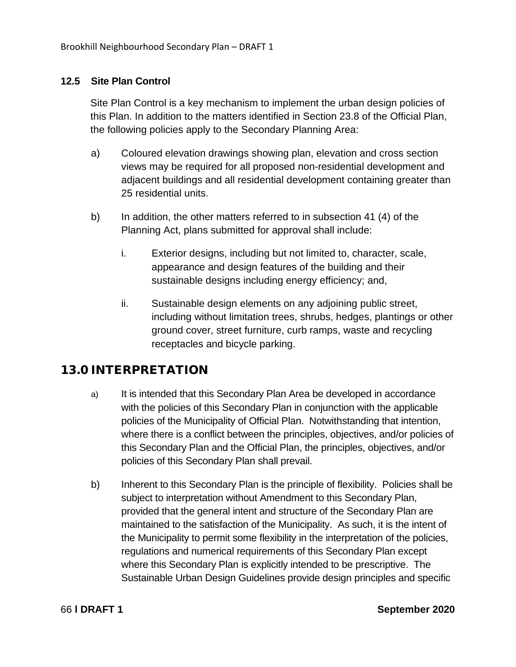# **12.5 Site Plan Control**

Site Plan Control is a key mechanism to implement the urban design policies of this Plan. In addition to the matters identified in Section 23.8 of the Official Plan, the following policies apply to the Secondary Planning Area:

- a) Coloured elevation drawings showing plan, elevation and cross section views may be required for all proposed non-residential development and adjacent buildings and all residential development containing greater than 25 residential units.
- b) In addition, the other matters referred to in subsection 41 (4) of the Planning Act, plans submitted for approval shall include:
	- i. Exterior designs, including but not limited to, character, scale, appearance and design features of the building and their sustainable designs including energy efficiency; and,
	- ii. Sustainable design elements on any adjoining public street, including without limitation trees, shrubs, hedges, plantings or other ground cover, street furniture, curb ramps, waste and recycling receptacles and bicycle parking.

# 13.0 INTERPRETATION

- a) It is intended that this Secondary Plan Area be developed in accordance with the policies of this Secondary Plan in conjunction with the applicable policies of the Municipality of Official Plan. Notwithstanding that intention, where there is a conflict between the principles, objectives, and/or policies of this Secondary Plan and the Official Plan, the principles, objectives, and/or policies of this Secondary Plan shall prevail.
- b) Inherent to this Secondary Plan is the principle of flexibility. Policies shall be subject to interpretation without Amendment to this Secondary Plan, provided that the general intent and structure of the Secondary Plan are maintained to the satisfaction of the Municipality. As such, it is the intent of the Municipality to permit some flexibility in the interpretation of the policies, regulations and numerical requirements of this Secondary Plan except where this Secondary Plan is explicitly intended to be prescriptive. The Sustainable Urban Design Guidelines provide design principles and specific